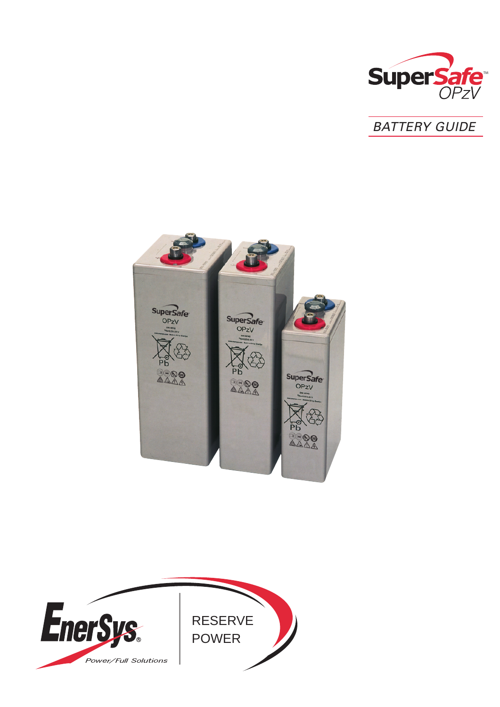





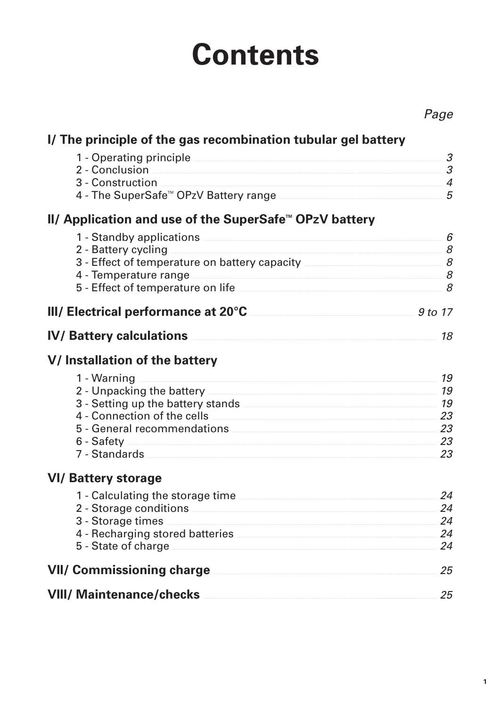# **Contents**

|                                                                                  | Page                |
|----------------------------------------------------------------------------------|---------------------|
| I/ The principle of the gas recombination tubular gel battery                    |                     |
| 1 - Operating principle                                                          | 3                   |
| 2 - Conclusion                                                                   | 3                   |
| 3 - Construction<br>4 - The SuperSafe <sup>™</sup> OPzV Battery range            | $\overline{4}$<br>5 |
|                                                                                  |                     |
| II/ Application and use of the SuperSafe™ OPzV battery                           |                     |
| 1 - Standby applications                                                         | 6<br>8              |
| 2 - Battery cycling<br>3 - Effect of temperature on battery capacity ___________ | 8                   |
| 4 - Temperature range                                                            | 8                   |
| 5 - Effect of temperature on life                                                | 8                   |
| III/ Electrical performance at 20°C                                              | 9 to 17             |
| <b>IV/ Battery calculations</b>                                                  | 18                  |
| V/ Installation of the battery                                                   |                     |
| 1 - Warning                                                                      | 19                  |
| 2 - Unpacking the battery                                                        | 19                  |
|                                                                                  | 19                  |
| 4 - Connection of the cells<br>5 - General recommendations                       | 23<br>23            |
| 6 - Safety                                                                       | 23                  |
| 7 - Standards                                                                    | 23                  |
| <b>VI/ Battery storage</b>                                                       |                     |
| 1 - Calculating the storage time                                                 | 24                  |
| 2 - Storage conditions                                                           | 24                  |
| 3 - Storage times                                                                | 24                  |
| 4 - Recharging stored batteries<br>5 - State of charge                           | 24<br>24            |
| <b>VII/ Commissioning charge</b>                                                 | 25                  |
| <b>VIII/ Maintenance/checks</b>                                                  | 25                  |
|                                                                                  |                     |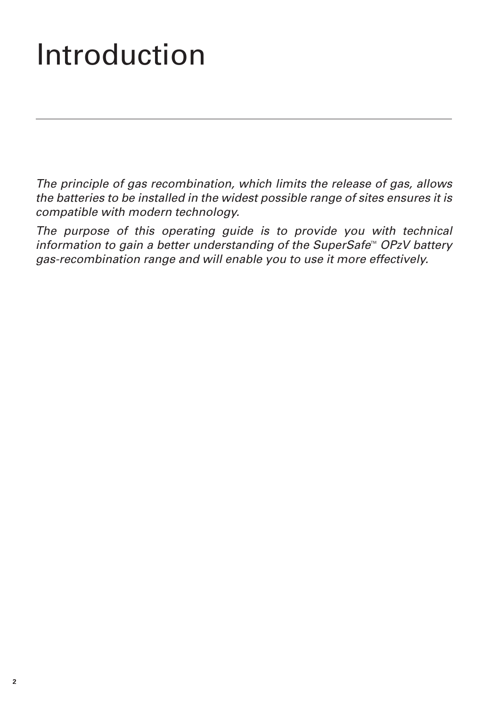# Introduction

The principle of gas recombination, which limits the release of gas, allows the batteries to be installed in the widest possible range of sites ensures it is compatible with modern technology.

The purpose of this operating guide is to provide you with technical information to gain a better understanding of the SuperSafe<sup> $M$ </sup> OPzV battery gas-recombination range and will enable you to use it more effectively.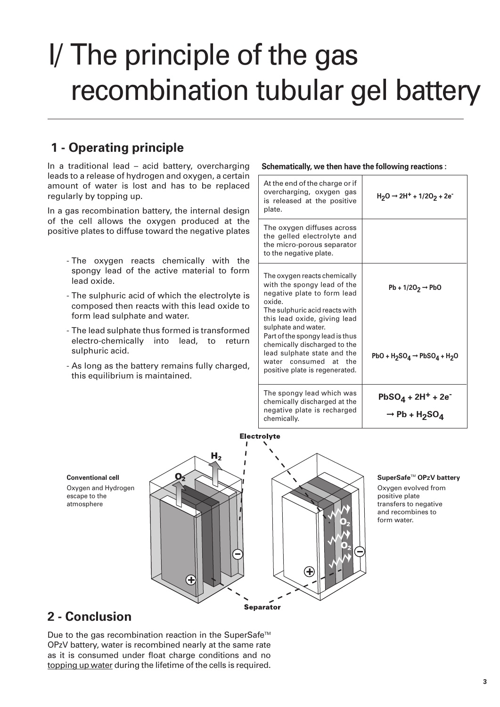# I/ The principle of the gas recombination tubular gel battery

# **1 - Operating principle**

In a traditional lead – acid battery, overcharging leads to a release of hydrogen and oxygen, a certain amount of water is lost and has to be replaced regularly by topping up.

In a gas recombination battery, the internal design of the cell allows the oxygen produced at the positive plates to diffuse toward the negative plates

- The oxygen reacts chemically with the spongy lead of the active material to form lead oxide.
- The sulphuric acid of which the electrolyte is composed then reacts with this lead oxide to form lead sulphate and water.
- The lead sulphate thus formed is transformed electro-chemically into lead, to return sulphuric acid.
- As long as the battery remains fully charged, this equilibrium is maintained.

### **Schematically, we then have the following reactions :**

| At the end of the charge or if<br>overcharging, oxygen gas<br>is released at the positive<br>plate.                                                                                                                                                                                             | $H_2O \rightarrow 2H^+ + 1/2O_2 + 2e^-$                                     |
|-------------------------------------------------------------------------------------------------------------------------------------------------------------------------------------------------------------------------------------------------------------------------------------------------|-----------------------------------------------------------------------------|
| The oxygen diffuses across<br>the gelled electrolyte and<br>the micro-porous separator<br>to the negative plate.                                                                                                                                                                                |                                                                             |
| The oxygen reacts chemically<br>with the spongy lead of the<br>negative plate to form lead<br>oxide.<br>The sulphuric acid reacts with<br>this lead oxide, giving lead<br>sulphate and water.<br>Part of the spongy lead is thus<br>chemically discharged to the<br>lead sulphate state and the | $Pb + 1/2O2 \rightarrow PbO$<br>PbO + $H_2SO_4 \rightarrow PbSO_4 + H_2O$   |
| water consumed at the<br>positive plate is regenerated.                                                                                                                                                                                                                                         |                                                                             |
| The spongy lead which was<br>chemically discharged at the<br>negative plate is recharged<br>chemically.                                                                                                                                                                                         | $PbSO_4 + 2H^+ + 2e^-$<br>$\rightarrow$ Pb + H <sub>2</sub> SO <sub>4</sub> |





### **SuperSafe**TM **OPzV battery**

Oxygen evolved from positive plate transfers to negative and recombines to form water.

## **2 - Conclusion**

Due to the gas recombination reaction in the SuperSafe<sup>™</sup> OPzV battery, water is recombined nearly at the same rate as it is consumed under float charge conditions and no topping up water during the lifetime of the cells is required.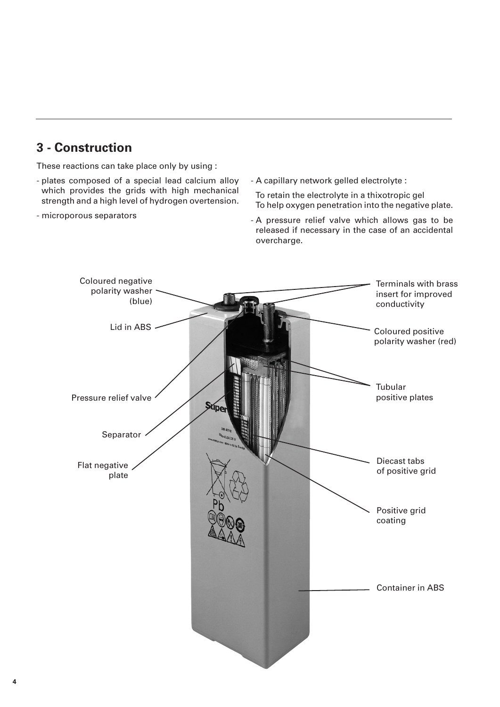# **3 - Construction**

These reactions can take place only by using :

- plates composed of a special lead calcium alloy which provides the grids with high mechanical strength and a high level of hydrogen overtension.
- microporous separators

- A capillary network gelled electrolyte :

To retain the electrolyte in a thixotropic gel To help oxygen penetration into the negative plate.

- A pressure relief valve which allows gas to be released if necessary in the case of an accidental overcharge.

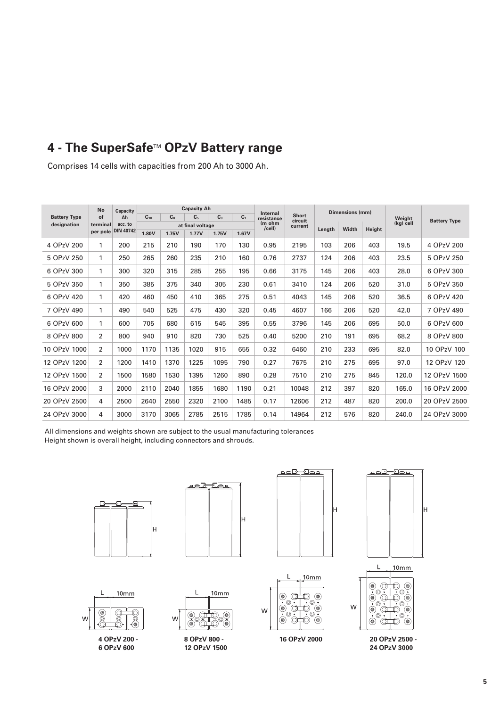# **4 - The SuperSafe™ OPzV Battery range**

Comprises 14 cells with capacities from 200 Ah to 3000 Ah.

|                     | <b>No</b>            | Capacity<br>Ah              |          |                | <b>Capacity Ah</b> |                |                | Internal         |                  |        | <b>Dimensions (mm)</b> |        |           | <b>Battery Type</b> |
|---------------------|----------------------|-----------------------------|----------|----------------|--------------------|----------------|----------------|------------------|------------------|--------|------------------------|--------|-----------|---------------------|
| <b>Battery Type</b> | of                   |                             | $C_{10}$ | C <sub>8</sub> | C <sub>5</sub>     | C <sub>3</sub> | C <sub>1</sub> | resistance       | Short<br>circuit |        |                        |        | Weight    |                     |
| designation         | terminal<br>per pole | acc. to<br><b>DIN 40742</b> |          |                | at final voltage   |                |                | (m ohm<br>/cell) | current          | Length | Width                  | Height | (kg) cell |                     |
|                     |                      |                             | 1.80V    | 1.75V          | 1.77V              | 1.75V          | 1.67V          |                  |                  |        |                        |        |           |                     |
| 4 OPzV 200          | 1                    | 200                         | 215      | 210            | 190                | 170            | 130            | 0.95             | 2195             | 103    | 206                    | 403    | 19.5      | 4 OPzV 200          |
| 5 OPzV 250          | 1                    | 250                         | 265      | 260            | 235                | 210            | 160            | 0.76             | 2737             | 124    | 206                    | 403    | 23.5      | 5 OPzV 250          |
| 6 OPzV 300          | 1                    | 300                         | 320      | 315            | 285                | 255            | 195            | 0.66             | 3175             | 145    | 206                    | 403    | 28.0      | 6 OPzV 300          |
| 5 OPzV 350          | 1                    | 350                         | 385      | 375            | 340                | 305            | 230            | 0.61             | 3410             | 124    | 206                    | 520    | 31.0      | 5 OPzV 350          |
| 6 OPzV 420          | 1                    | 420                         | 460      | 450            | 410                | 365            | 275            | 0.51             | 4043             | 145    | 206                    | 520    | 36.5      | 6 OPzV 420          |
| 7 OPzV 490          | 1                    | 490                         | 540      | 525            | 475                | 430            | 320            | 0.45             | 4607             | 166    | 206                    | 520    | 42.0      | 7 OPzV 490          |
| 6 OPzV 600          | 1                    | 600                         | 705      | 680            | 615                | 545            | 395            | 0.55             | 3796             | 145    | 206                    | 695    | 50.0      | 6 OPzV 600          |
| 8 OPzV 800          | 2                    | 800                         | 940      | 910            | 820                | 730            | 525            | 0.40             | 5200             | 210    | 191                    | 695    | 68.2      | 8 OPzV 800          |
| 10 OPzV 1000        | 2                    | 1000                        | 1170     | 1135           | 1020               | 915            | 655            | 0.32             | 6460             | 210    | 233                    | 695    | 82.0      | 10 OPzV 100         |
| 12 OPzV 1200        | 2                    | 1200                        | 1410     | 1370           | 1225               | 1095           | 790            | 0.27             | 7675             | 210    | 275                    | 695    | 97.0      | 12 OPzV 120         |
| 12 OPzV 1500        | 2                    | 1500                        | 1580     | 1530           | 1395               | 1260           | 890            | 0.28             | 7510             | 210    | 275                    | 845    | 120.0     | 12 OPzV 1500        |
| 16 OPzV 2000        | 3                    | 2000                        | 2110     | 2040           | 1855               | 1680           | 1190           | 0.21             | 10048            | 212    | 397                    | 820    | 165.0     | 16 OPzV 2000        |
| 20 OPzV 2500        | 4                    | 2500                        | 2640     | 2550           | 2320               | 2100           | 1485           | 0.17             | 12606            | 212    | 487                    | 820    | 200.0     | 20 OPzV 2500        |
| 24 OPzV 3000        | 4                    | 3000                        | 3170     | 3065           | 2785               | 2515           | 1785           | 0.14             | 14964            | 212    | 576                    | 820    | 240.0     | 24 OPzV 3000        |

All dimensions and weights shown are subject to the usual manufacturing tolerances Height shown is overall height, including connectors and shrouds.





 $10mm$ 











W

**24 OPzV 3000**

 $\mathbf{I}$  $10mm$  $\mathsf{M}$ **4 OPzV 200 - 6 OPzV 600**



 $\overline{L}$ 

۵

 $\mathsf{W}$ 

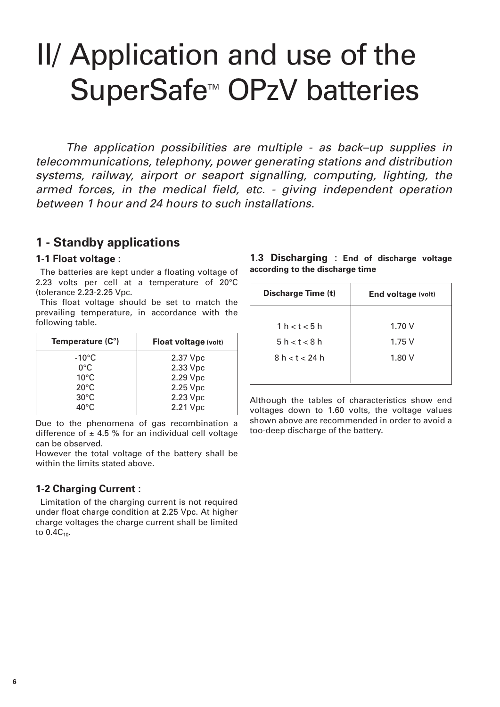# II/ Application and use of the SuperSafe<sup>™</sup> OPzV batteries

The application possibilities are multiple - as back–up supplies in telecommunications, telephony, power generating stations and distribution systems, railway, airport or seaport signalling, computing, lighting, the armed forces, in the medical field, etc. - giving independent operation between 1 hour and 24 hours to such installations.

## **1 - Standby applications**

### **1-1 Float voltage :**

The batteries are kept under a floating voltage of 2.23 volts per cell at a temperature of 20°C (tolerance 2.23-2.25 Vpc.

This float voltage should be set to match the prevailing temperature, in accordance with the following table.

| Temperature (C°) | Float voltage (volt) |
|------------------|----------------------|
| $-10^{\circ}$ C  | 2.37 Vpc             |
| $0^{\circ}$ C    | 2.33 Vpc             |
| $10^{\circ}$ C   | 2.29 Vpc             |
| $20^{\circ}$ C   | 2.25 Vpc             |
| $30^{\circ}$ C   | 2.23 Vpc             |
| $40^{\circ}$ C   | 2.21 Vpc             |

Due to the phenomena of gas recombination a difference of  $\pm$  4.5 % for an individual cell voltage can be observed.

However the total voltage of the battery shall be within the limits stated above.

### **1-2 Charging Current :**

Limitation of the charging current is not required under float charge condition at 2.25 Vpc. At higher charge voltages the charge current shall be limited to  $0.4C_{10}$ .

| 1.3 Discharging : End of discharge voltage |  |  |  |
|--------------------------------------------|--|--|--|
| according to the discharge time            |  |  |  |

| Discharge Time (t) | End voltage (volt) |
|--------------------|--------------------|
|                    |                    |
| 1 h < t < 5 h      | 1.70V              |
| 5h < t < 8h        | 1.75V              |
| 8 h < t < 24 h     | 1.80V              |
|                    |                    |

Although the tables of characteristics show end voltages down to 1.60 volts, the voltage values shown above are recommended in order to avoid a too-deep discharge of the battery.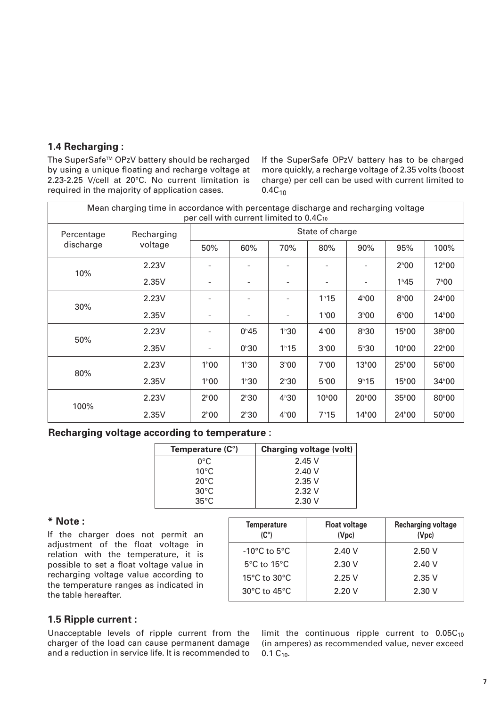### **1.4 Recharging :**

The SuperSafe™ OPzV battery should be recharged by using a unique floating and recharge voltage at 2.23-2.25 V/cell at 20°C. No current limitation is required in the majority of application cases.

If the SuperSafe OPzV battery has to be charged more quickly, a recharge voltage of 2.35 volts (boost charge) per cell can be used with current limited to  $0.4C_{10}$ 

| Mean charging time in accordance with percentage discharge and recharging voltage<br>per cell with current limited to 0.4C10 |            |                   |                   |                   |                    |                    |                    |                    |  |  |  |
|------------------------------------------------------------------------------------------------------------------------------|------------|-------------------|-------------------|-------------------|--------------------|--------------------|--------------------|--------------------|--|--|--|
| Percentage                                                                                                                   | Recharging | State of charge   |                   |                   |                    |                    |                    |                    |  |  |  |
| discharge                                                                                                                    | voltage    | 50%               | 60%               | 70%               | 80%                | 90%                | 95%                | 100%               |  |  |  |
|                                                                                                                              | 2.23V      |                   |                   |                   |                    |                    | $2^{h}00$          | $12^{\text{h}}00$  |  |  |  |
| 10%                                                                                                                          | 2.35V      |                   |                   |                   |                    |                    | 1h45               | $7^{\circ}00$      |  |  |  |
|                                                                                                                              | 2.23V      |                   |                   |                   | 1 <sup>h</sup> 15  | $4^h00$            | $8^h00$            | 24 <sup>h</sup> 00 |  |  |  |
| 30%                                                                                                                          | 2.35V      |                   |                   |                   | 1 <sup>h</sup> 00  | 3 <sup>h</sup> 00  | $6^{\circ}00$      | $14^{\text{h}}00$  |  |  |  |
|                                                                                                                              | 2.23V      |                   | $0^{\text{h}}45$  | $1^h30$           | $4^{\circ}00$      | $8^h30$            | $15^{\text{h}}00$  | 38 <sup>h</sup> 00 |  |  |  |
| 50%                                                                                                                          | 2.35V      |                   | 0 <sup>h</sup> 30 | 1 h 15            | 3 <sup>h</sup> 00  | $5^h30$            | 10 <sup>h</sup> 00 | 22 <sup>h</sup> 00 |  |  |  |
| 80%                                                                                                                          | 2.23V      | 1 <sup>h</sup> 00 | 1 <sup>h</sup> 30 | 3 <sup>h</sup> 00 | $7^{\circ}00$      | 13 <sup>h</sup> 00 | 25 <sup>h</sup> 00 | 56 <sup>h</sup> 00 |  |  |  |
|                                                                                                                              | 2.35V      | 1 <sup>h</sup> 00 | 1 <sup>h</sup> 30 | $2^{h}30$         | $5^{\circ}00$      | 9h15               | $15^{\text{h}}00$  | 34 <sup>h</sup> 00 |  |  |  |
|                                                                                                                              | 2.23V      | $2^{\text{h}}00$  | 2h30              | $4^h30$           | 10 <sup>h</sup> 00 | $20^{\circ}00$     | $35^{\circ}00$     | 80 <sup>h</sup> 00 |  |  |  |
| 100%                                                                                                                         | 2.35V      | $2^{\text{h}}00$  | $2^{h}30$         | $4^{\circ}00$     | 7h15               | 14 <sup>h</sup> 00 | 24 <sup>h</sup> 00 | 50 <sup>h</sup> 00 |  |  |  |

### **Recharging voltage according to temperature :**

| Temperature (C°) | <b>Charging voltage (volt)</b> |
|------------------|--------------------------------|
| $0^{\circ}$ C    | 2.45V                          |
| $10^{\circ}$ C   | 2.40V                          |
| $20^{\circ}$ C   | 2.35V                          |
| $30^{\circ}$ C   | 2.32V                          |
| $35^{\circ}$ C   | 2.30V                          |

### **\* Note :**

If the charger does not permit an adjustment of the float voltage in relation with the temperature, it is possible to set a float voltage value in recharging voltage value according to the temperature ranges as indicated in the table hereafter.

| <b>Temperature</b><br>(C°)        | <b>Float voltage</b><br>(Vpc) | <b>Recharging voltage</b><br>(Vpc) |
|-----------------------------------|-------------------------------|------------------------------------|
| $-10^{\circ}$ C to 5 $^{\circ}$ C | 2.40V                         | 2.50V                              |
| $5^{\circ}$ C to 15 $^{\circ}$ C  | 2.30V                         | 2.40V                              |
| $15^{\circ}$ C to $30^{\circ}$ C  | 2.25V                         | 2.35V                              |
| 30 $\degree$ C to 45 $\degree$ C  | 2.20V                         | 2.30V                              |

### **1.5 Ripple current :**

Unacceptable levels of ripple current from the charger of the load can cause permanent damage and a reduction in service life. It is recommended to limit the continuous ripple current to  $0.05C_{10}$ (in amperes) as recommended value, never exceed  $0.1 C_{10}$ .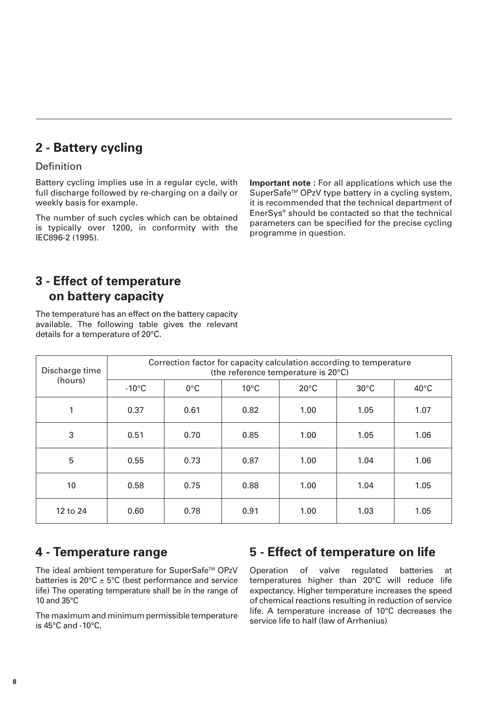# **2 - Battery cycling**

### Definition

Battery cycling implies use in a regular cycle, with full discharge followed by re-charging on a daily or weekly basis for example.

The number of such cycles which can be obtained is typically over 1200, in conformity with the IEC896-2 (1995).

**Important note :** For all applications which use the SuperSafe<sup>™</sup> OPzV type battery in a cycling system, it is recommended that the technical department of EnerSys® should be contacted so that the technical parameters can be specified for the precise cycling programme in question.

# **3 - Effect of temperature on battery capacity**

The temperature has an effect on the battery capacity available. The following table gives the relevant details for a temperature of 20°C.

| Discharge time | Correction factor for capacity calculation according to temperature<br>(the reference temperature is 20°C) |               |                |                |                |                |  |  |  |  |  |  |
|----------------|------------------------------------------------------------------------------------------------------------|---------------|----------------|----------------|----------------|----------------|--|--|--|--|--|--|
| (hours)        | $-10^{\circ}$ C                                                                                            | $0^{\circ}$ C | $10^{\circ}$ C | $20^{\circ}$ C | $30^{\circ}$ C | $40^{\circ}$ C |  |  |  |  |  |  |
| 1              | 0.37                                                                                                       | 0.61          | 0.82           | 1.00           | 1.05           | 1.07           |  |  |  |  |  |  |
| 3              | 0.51                                                                                                       | 0.70          | 0.85           | 1.00           | 1.05           | 1.06           |  |  |  |  |  |  |
| $\overline{5}$ | 0.55                                                                                                       | 0.73          | 0.87           | 1.00           | 1.04           | 1.06           |  |  |  |  |  |  |
| 10             | 0.58                                                                                                       | 0.75          | 0.88           | 1.00           | 1.04           | 1.05           |  |  |  |  |  |  |
| 12 to 24       | 0.60                                                                                                       | 0.78          | 0.91           | 1.00           | 1.03           | 1.05           |  |  |  |  |  |  |

## **4 - Temperature range**

The ideal ambient temperature for SuperSafe™ OPzV batteries is  $20^{\circ}$ C  $\pm$  5°C (best performance and service life) The operating temperature shall be in the range of 10 and 35°C

The maximum and minimum permissible temperature is 45°C and -10°C.

# **5 - Effect of temperature on life**

Operation of valve regulated batteries at temperatures higher than 20°C will reduce life expectancy. Higher temperature increases the speed of chemical reactions resulting in reduction of service life. A temperature increase of 10°C decreases the service life to half (law of Arrhenius)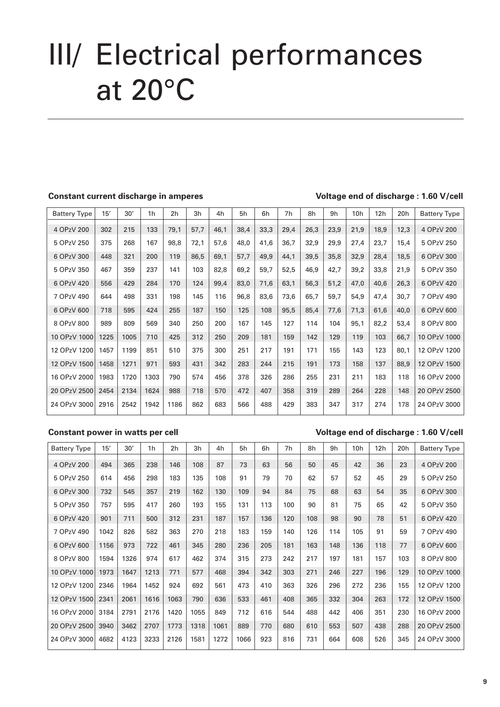# III/ Electrical performances at 20°C

### **Constant current discharge in amperes Voltage end of discharge : 1.60 V/cell**

| <b>Battery Type</b> | 15'  | 30'  | 1 <sub>h</sub> | 2 <sub>h</sub> | 3h   | 4h   | 5h   | 6h   | 7h   | 8h   | 9h   | 10 <sub>h</sub> | 12h  | 20h  | <b>Battery Type</b> |
|---------------------|------|------|----------------|----------------|------|------|------|------|------|------|------|-----------------|------|------|---------------------|
| 4 OPzV 200          | 302  | 215  | 133            | 79,1           | 57,7 | 46,1 | 38,4 | 33,3 | 29,4 | 26,3 | 23,9 | 21,9            | 18,9 | 12,3 | 4 OPzV 200          |
| 5 OPzV 250          | 375  | 268  | 167            | 98,8           | 72,1 | 57,6 | 48,0 | 41,6 | 36,7 | 32,9 | 29,9 | 27,4            | 23,7 | 15,4 | 5 OPzV 250          |
| 6 OPzV 300          | 448  | 321  | 200            | 119            | 86,5 | 69,1 | 57,7 | 49,9 | 44,1 | 39,5 | 35,8 | 32,9            | 28,4 | 18,5 | 6 OPzV 300          |
| 5 OPzV 350          | 467  | 359  | 237            | 141            | 103  | 82,8 | 69,2 | 59,7 | 52,5 | 46,9 | 42,7 | 39,2            | 33,8 | 21,9 | 5 OPzV 350          |
| 6 OPzV 420          | 556  | 429  | 284            | 170            | 124  | 99,4 | 83,0 | 71,6 | 63,1 | 56,3 | 51,2 | 47,0            | 40,6 | 26,3 | 6 OPzV 420          |
| 7 OPzV 490          | 644  | 498  | 331            | 198            | 145  | 116  | 96,8 | 83,6 | 73,6 | 65,7 | 59,7 | 54,9            | 47,4 | 30,7 | 7 OPzV 490          |
| 6 OPzV 600          | 718  | 595  | 424            | 255            | 187  | 150  | 125  | 108  | 95,5 | 85,4 | 77,6 | 71,3            | 61,6 | 40,0 | 6 OPzV 600          |
| 8 OPzV 800          | 989  | 809  | 569            | 340            | 250  | 200  | 167  | 145  | 127  | 114  | 104  | 95,1            | 82,2 | 53,4 | 8 OPzV 800          |
| 10 OPzV 1000        | 1225 | 1005 | 710            | 425            | 312  | 250  | 209  | 181  | 159  | 142  | 129  | 119             | 103  | 66,7 | 10 OPzV 1000        |
| 12 OPzV 1200        | 1457 | 1199 | 851            | 510            | 375  | 300  | 251  | 217  | 191  | 171  | 155  | 143             | 123  | 80,1 | 12 OPzV 1200        |
| 12 OPzV 1500        | 1458 | 1271 | 971            | 593            | 431  | 342  | 283  | 244  | 215  | 191  | 173  | 158             | 137  | 88,9 | 12 OPzV 1500        |
| 16 OPzV 2000        | 1983 | 1720 | 1303           | 790            | 574  | 456  | 378  | 326  | 286  | 255  | 231  | 211             | 183  | 118  | 16 OPzV 2000        |
| 20 OPzV 2500        | 2454 | 2134 | 1624           | 988            | 718  | 570  | 472  | 407  | 358  | 319  | 289  | 264             | 228  | 148  | 20 OPzV 2500        |
| 24 OPzV 3000        | 2916 | 2542 | 1942           | 1186           | 862  | 683  | 566  | 488  | 429  | 383  | 347  | 317             | 274  | 178  | 24 OPzV 3000        |

### **Constant power in watts per cell Voltage end of discharge : 1.60 V/cell**

| <b>Battery Type</b> | 15'  | 30'  | 1h   | 2 <sub>h</sub> | 3h   | 4h   | 5h   | 6h  | 7h  | 8h  | 9h  | 10h | 12h | 20h | <b>Battery Type</b> |
|---------------------|------|------|------|----------------|------|------|------|-----|-----|-----|-----|-----|-----|-----|---------------------|
| 4 OPzV 200          | 494  | 365  | 238  | 146            | 108  | 87   | 73   | 63  | 56  | 50  | 45  | 42  | 36  | 23  | 4 OPzV 200          |
| 5 OPzV 250          | 614  | 456  | 298  | 183            | 135  | 108  | 91   | 79  | 70  | 62  | 57  | 52  | 45  | 29  | 5 OPzV 250          |
| 6 OPzV 300          | 732  | 545  | 357  | 219            | 162  | 130  | 109  | 94  | 84  | 75  | 68  | 63  | 54  | 35  | 6 OPzV 300          |
| 5 OPzV 350          | 757  | 595  | 417  | 260            | 193  | 155  | 131  | 113 | 100 | 90  | 81  | 75  | 65  | 42  | 5 OPzV 350          |
| 6 OPzV 420          | 901  | 711  | 500  | 312            | 231  | 187  | 157  | 136 | 120 | 108 | 98  | 90  | 78  | 51  | 6 OPzV 420          |
| 7 OPzV 490          | 1042 | 826  | 582  | 363            | 270  | 218  | 183  | 159 | 140 | 126 | 114 | 105 | 91  | 59  | 7 OPzV 490          |
| 6 OPzV 600          | 1156 | 973  | 722  | 461            | 345  | 280  | 236  | 205 | 181 | 163 | 148 | 136 | 118 | 77  | 6 OPzV 600          |
| 8 OPzV 800          | 1594 | 1326 | 974  | 617            | 462  | 374  | 315  | 273 | 242 | 217 | 197 | 181 | 157 | 103 | 8 OPzV 800          |
| 10 OPzV 1000        | 1973 | 1647 | 1213 | 771            | 577  | 468  | 394  | 342 | 303 | 271 | 246 | 227 | 196 | 129 | 10 OPzV 1000        |
| 12 OPzV 1200        | 2346 | 1964 | 1452 | 924            | 692  | 561  | 473  | 410 | 363 | 326 | 296 | 272 | 236 | 155 | 12 OPzV 1200        |
| 12 OPzV 1500        | 2341 | 2061 | 1616 | 1063           | 790  | 636  | 533  | 461 | 408 | 365 | 332 | 304 | 263 | 172 | 12 OPzV 1500        |
| 16 OPzV 2000        | 3184 | 2791 | 2176 | 1420           | 1055 | 849  | 712  | 616 | 544 | 488 | 442 | 406 | 351 | 230 | 16 OPzV 2000        |
| 20 OPzV 2500        | 3940 | 3462 | 2707 | 1773           | 1318 | 1061 | 889  | 770 | 680 | 610 | 553 | 507 | 438 | 288 | 20 OPzV 2500        |
| 24 OPzV 3000        | 4682 | 4123 | 3233 | 2126           | 1581 | 1272 | 1066 | 923 | 816 | 731 | 664 | 608 | 526 | 345 | 24 OPzV 3000        |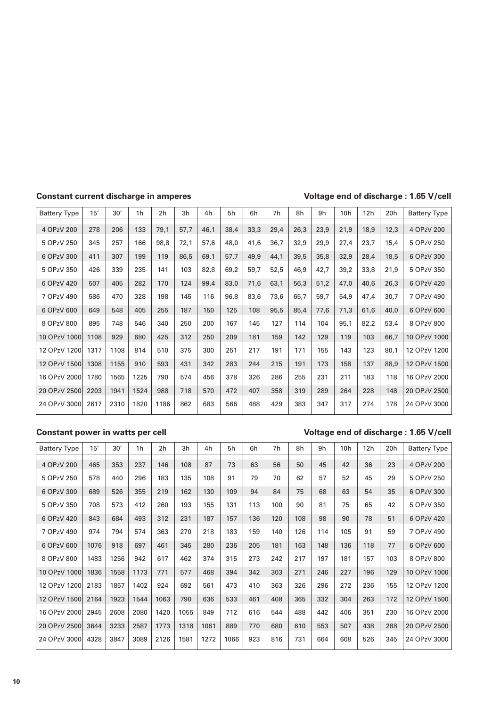### **Constant current discharge in amperes Voltage end of discharge : 1.65 V/cell**

| <b>Battery Type</b> | 15'  | 30'  | 1h   | 2 <sub>h</sub> | 3h   | 4h   | 5h   | 6h   | 7h   | 8h   | 9h   | 10 <sub>h</sub> | 12h  | 20h  | <b>Battery Type</b> |
|---------------------|------|------|------|----------------|------|------|------|------|------|------|------|-----------------|------|------|---------------------|
| 4 OPzV 200          | 278  | 206  | 133  | 79,1           | 57,7 | 46,1 | 38,4 | 33,3 | 29,4 | 26,3 | 23,9 | 21,9            | 18,9 | 12,3 | 4 OPzV 200          |
| 5 OPzV 250          | 345  | 257  | 166  | 98,8           | 72,1 | 57,6 | 48,0 | 41,6 | 36,7 | 32,9 | 29,9 | 27,4            | 23,7 | 15,4 | 5 OPzV 250          |
| 6 OPzV 300          | 411  | 307  | 199  | 119            | 86,5 | 69,1 | 57,7 | 49,9 | 44,1 | 39,5 | 35,8 | 32,9            | 28,4 | 18,5 | 6 OPzV 300          |
| 5 OPzV 350          | 426  | 339  | 235  | 141            | 103  | 82,8 | 69,2 | 59,7 | 52,5 | 46,9 | 42,7 | 39,2            | 33,8 | 21,9 | 5 OPzV 350          |
| 6 OPzV 420          | 507  | 405  | 282  | 170            | 124  | 99,4 | 83,0 | 71,6 | 63,1 | 56,3 | 51,2 | 47,0            | 40,6 | 26,3 | 6 OPzV 420          |
| 7 OPzV 490          | 586  | 470  | 328  | 198            | 145  | 116  | 96,8 | 83,6 | 73,6 | 65.7 | 59,7 | 54.9            | 47,4 | 30,7 | 7 OPzV 490          |
| 6 OPzV 600          | 649  | 548  | 405  | 255            | 187  | 150  | 125  | 108  | 95,5 | 85,4 | 77,6 | 71,3            | 61,6 | 40,0 | 6 OPzV 600          |
| 8 OPzV 800          | 895  | 748  | 546  | 340            | 250  | 200  | 167  | 145  | 127  | 114  | 104  | 95,1            | 82,2 | 53,4 | 8 OPzV 800          |
| 10 OPzV 1000        | 1108 | 929  | 680  | 425            | 312  | 250  | 209  | 181  | 159  | 142  | 129  | 119             | 103  | 66,7 | 10 OPzV 1000        |
| 12 OPzV 1200        | 1317 | 1108 | 814  | 510            | 375  | 300  | 251  | 217  | 191  | 171  | 155  | 143             | 123  | 80,1 | 12 OPzV 1200        |
| 12 OPzV 1500        | 1308 | 1155 | 910  | 593            | 431  | 342  | 283  | 244  | 215  | 191  | 173  | 158             | 137  | 88,9 | 12 OPzV 1500        |
| 16 OPzV 2000        | 1780 | 1565 | 1225 | 790            | 574  | 456  | 378  | 326  | 286  | 255  | 231  | 211             | 183  | 118  | 16 OPzV 2000        |
| 20 OPzV 2500        | 2203 | 1941 | 1524 | 988            | 718  | 570  | 472  | 407  | 358  | 319  | 289  | 264             | 228  | 148  | 20 OPzV 2500        |
| 24 OPzV 3000        | 2617 | 2310 | 1820 | 1186           | 862  | 683  | 566  | 488  | 429  | 383  | 347  | 317             | 274  | 178  | 24 OPzV 3000        |

### **Constant power in watts per cell Voltage end of discharge : 1.65 V/cell**

| <b>Battery Type</b> | 15'  | 30'  | 1h   | 2 <sub>h</sub> | 3h   | 4h   | 5h   | 6h  | 7h  | 8h  | 9h  | 10 <sub>h</sub> | 12h | 20 <sub>h</sub> | <b>Battery Type</b> |
|---------------------|------|------|------|----------------|------|------|------|-----|-----|-----|-----|-----------------|-----|-----------------|---------------------|
| 4 OPzV 200          | 465  | 353  | 237  | 146            | 108  | 87   | 73   | 63  | 56  | 50  | 45  | 42              | 36  | 23              | 4 OPzV 200          |
| 5 OPzV 250          | 578  | 440  | 296  | 183            | 135  | 108  | 91   | 79  | 70  | 62  | 57  | 52              | 45  | 29              | 5 OPzV 250          |
| 6 OPzV 300          | 689  | 526  | 355  | 219            | 162  | 130  | 109  | 94  | 84  | 75  | 68  | 63              | 54  | 35              | 6 OPzV 300          |
| 5 OPzV 350          | 708  | 573  | 412  | 260            | 193  | 155  | 131  | 113 | 100 | 90  | 81  | 75              | 65  | 42              | 5 OPzV 350          |
| 6 OPzV 420          | 843  | 684  | 493  | 312            | 231  | 187  | 157  | 136 | 120 | 108 | 98  | 90              | 78  | 51              | 6 OPzV 420          |
| 7 OPzV 490          | 974  | 794  | 574  | 363            | 270  | 218  | 183  | 159 | 140 | 126 | 114 | 105             | 91  | 59              | 7 OPzV 490          |
| 6 OPzV 600          | 1076 | 918  | 697  | 461            | 345  | 280  | 236  | 205 | 181 | 163 | 148 | 136             | 118 | 77              | 6 OPzV 600          |
| 8 OPzV 800          | 1483 | 1256 | 942  | 617            | 462  | 374  | 315  | 273 | 242 | 217 | 197 | 181             | 157 | 103             | 8 OPzV 800          |
| 10 OPzV 1000        | 1836 | 1558 | 1173 | 771            | 577  | 468  | 394  | 342 | 303 | 271 | 246 | 227             | 196 | 129             | 10 OPzV 1000        |
| 12 OPzV 1200        | 2183 | 1857 | 1402 | 924            | 692  | 561  | 473  | 410 | 363 | 326 | 296 | 272             | 236 | 155             | 12 OPzV 1200        |
| 12 OPzV 1500        | 2164 | 1923 | 1544 | 1063           | 790  | 636  | 533  | 461 | 408 | 365 | 332 | 304             | 263 | 172             | 12 OPzV 1500        |
| 16 OPzV 2000        | 2945 | 2608 | 2080 | 1420           | 1055 | 849  | 712  | 616 | 544 | 488 | 442 | 406             | 351 | 230             | 16 OPzV 2000        |
| 20 OPzV 2500        | 3644 | 3233 | 2587 | 1773           | 1318 | 1061 | 889  | 770 | 680 | 610 | 553 | 507             | 438 | 288             | 20 OPzV 2500        |
| 24 OPzV 3000        | 4328 | 3847 | 3089 | 2126           | 1581 | 1272 | 1066 | 923 | 816 | 731 | 664 | 608             | 526 | 345             | 24 OPzV 3000        |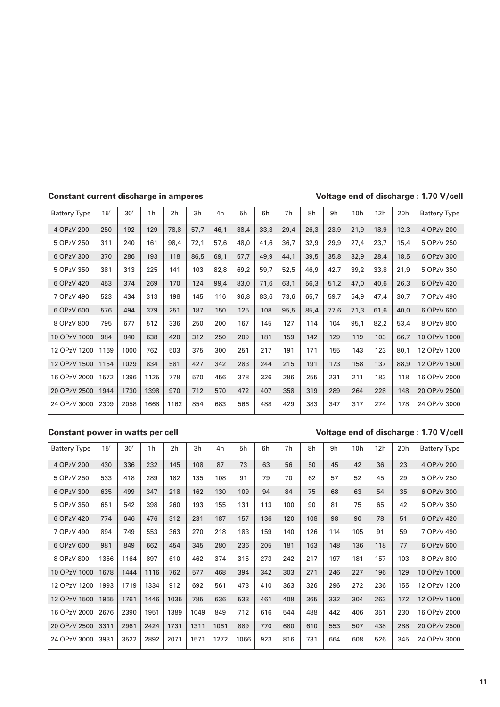### **Constant current discharge in amperes Voltage end of discharge : 1.70 V/cell**

| <b>Battery Type</b> | 15'  | 30'  | 1 <sub>h</sub> | 2h   | 3h   | 4h   | 5h   | 6h   | 7h   | 8h   | 9h   | 10h  | 12h  | 20h  | <b>Battery Type</b> |
|---------------------|------|------|----------------|------|------|------|------|------|------|------|------|------|------|------|---------------------|
| 4 OPzV 200          | 250  | 192  | 129            | 78,8 | 57,7 | 46,1 | 38,4 | 33,3 | 29,4 | 26,3 | 23,9 | 21,9 | 18,9 | 12,3 | 4 OPzV 200          |
| 5 OPzV 250          | 311  | 240  | 161            | 98,4 | 72,1 | 57,6 | 48,0 | 41,6 | 36,7 | 32,9 | 29,9 | 27,4 | 23,7 | 15,4 | 5 OPzV 250          |
| 6 OPzV 300          | 370  | 286  | 193            | 118  | 86,5 | 69,1 | 57,7 | 49,9 | 44,1 | 39,5 | 35,8 | 32,9 | 28,4 | 18,5 | 6 OPzV 300          |
| 5 OPzV 350          | 381  | 313  | 225            | 141  | 103  | 82,8 | 69,2 | 59,7 | 52,5 | 46,9 | 42,7 | 39,2 | 33,8 | 21,9 | 5 OPzV 350          |
| 6 OPzV 420          | 453  | 374  | 269            | 170  | 124  | 99,4 | 83,0 | 71,6 | 63,1 | 56,3 | 51,2 | 47,0 | 40,6 | 26,3 | 6 OPzV 420          |
| 7 OPzV 490          | 523  | 434  | 313            | 198  | 145  | 116  | 96,8 | 83,6 | 73,6 | 65,7 | 59,7 | 54,9 | 47,4 | 30,7 | 7 OPzV 490          |
| 6 OPzV 600          | 576  | 494  | 379            | 251  | 187  | 150  | 125  | 108  | 95,5 | 85,4 | 77,6 | 71,3 | 61,6 | 40,0 | 6 OPzV 600          |
| 8 OPzV 800          | 795  | 677  | 512            | 336  | 250  | 200  | 167  | 145  | 127  | 114  | 104  | 95,1 | 82,2 | 53,4 | 8 OPzV 800          |
| 10 OPzV 1000        | 984  | 840  | 638            | 420  | 312  | 250  | 209  | 181  | 159  | 142  | 129  | 119  | 103  | 66,7 | 10 OPzV 1000        |
| 12 OPzV 1200        | 1169 | 1000 | 762            | 503  | 375  | 300  | 251  | 217  | 191  | 171  | 155  | 143  | 123  | 80,1 | 12 OPzV 1200        |
| 12 OPzV 1500        | 1154 | 1029 | 834            | 581  | 427  | 342  | 283  | 244  | 215  | 191  | 173  | 158  | 137  | 88,9 | 12 OPzV 1500        |
| 16 OPzV 2000        | 1572 | 1396 | 1125           | 778  | 570  | 456  | 378  | 326  | 286  | 255  | 231  | 211  | 183  | 118  | 16 OPzV 2000        |
| 20 OPzV 2500        | 1944 | 1730 | 1398           | 970  | 712  | 570  | 472  | 407  | 358  | 319  | 289  | 264  | 228  | 148  | 20 OPzV 2500        |
| 24 OPzV 3000        | 2309 | 2058 | 1668           | 1162 | 854  | 683  | 566  | 488  | 429  | 383  | 347  | 317  | 274  | 178  | 24 OPzV 3000        |

### **Constant power in watts per cell Voltage end of discharge : 1.70 V/cell**

| <b>Battery Type</b> | 15'  | 30'  | 1h   | 2 <sub>h</sub> | 3h   | 4h   | 5h   | 6h  | 7h  | 8h  | 9h  | 10 <sub>h</sub> | 12h | 20h | <b>Battery Type</b> |
|---------------------|------|------|------|----------------|------|------|------|-----|-----|-----|-----|-----------------|-----|-----|---------------------|
| 4 OPzV 200          | 430  | 336  | 232  | 145            | 108  | 87   | 73   | 63  | 56  | 50  | 45  | 42              | 36  | 23  | 4 OPzV 200          |
| 5 OPzV 250          | 533  | 418  | 289  | 182            | 135  | 108  | 91   | 79  | 70  | 62  | 57  | 52              | 45  | 29  | 5 OPzV 250          |
| 6 OPzV 300          | 635  | 499  | 347  | 218            | 162  | 130  | 109  | 94  | 84  | 75  | 68  | 63              | 54  | 35  | 6 OPzV 300          |
| 5 OPzV 350          | 651  | 542  | 398  | 260            | 193  | 155  | 131  | 113 | 100 | 90  | 81  | 75              | 65  | 42  | 5 OPzV 350          |
| 6 OPzV 420          | 774  | 646  | 476  | 312            | 231  | 187  | 157  | 136 | 120 | 108 | 98  | 90              | 78  | 51  | 6 OPzV 420          |
| 7 OPzV 490          | 894  | 749  | 553  | 363            | 270  | 218  | 183  | 159 | 140 | 126 | 114 | 105             | 91  | 59  | 7 OPzV 490          |
| 6 OPzV 600          | 981  | 849  | 662  | 454            | 345  | 280  | 236  | 205 | 181 | 163 | 148 | 136             | 118 | 77  | 6 OPzV 600          |
| 8 OPzV 800          | 1356 | 1164 | 897  | 610            | 462  | 374  | 315  | 273 | 242 | 217 | 197 | 181             | 157 | 103 | 8 OPzV 800          |
| 10 OPzV 1000        | 1678 | 1444 | 1116 | 762            | 577  | 468  | 394  | 342 | 303 | 271 | 246 | 227             | 196 | 129 | 10 OPzV 1000        |
| 12 OPzV 1200        | 1993 | 1719 | 1334 | 912            | 692  | 561  | 473  | 410 | 363 | 326 | 296 | 272             | 236 | 155 | 12 OPzV 1200        |
| 12 OPzV 1500        | 1965 | 1761 | 1446 | 1035           | 785  | 636  | 533  | 461 | 408 | 365 | 332 | 304             | 263 | 172 | 12 OPzV 1500        |
| 16 OPzV 2000        | 2676 | 2390 | 1951 | 1389           | 1049 | 849  | 712  | 616 | 544 | 488 | 442 | 406             | 351 | 230 | 16 OPzV 2000        |
| 20 OPzV 2500        | 3311 | 2961 | 2424 | 1731           | 1311 | 1061 | 889  | 770 | 680 | 610 | 553 | 507             | 438 | 288 | 20 OPzV 2500        |
| 24 OPzV 3000        | 3931 | 3522 | 2892 | 2071           | 1571 | 1272 | 1066 | 923 | 816 | 731 | 664 | 608             | 526 | 345 | 24 OPzV 3000        |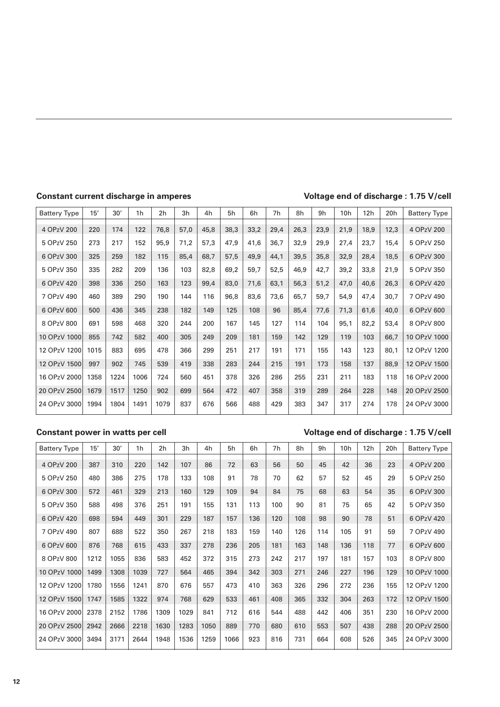### **Constant current discharge in amperes Voltage end of discharge : 1.75 V/cell**

| <b>Battery Type</b> | 15'  | 30'  | 1h   | 2h   | 3h   | 4h   | 5h   | 6h   | 7h   | 8h   | 9h   | 10h  | 12h  | 20h  | <b>Battery Type</b> |
|---------------------|------|------|------|------|------|------|------|------|------|------|------|------|------|------|---------------------|
| 4 OPzV 200          | 220  | 174  | 122  | 76,8 | 57,0 | 45,8 | 38,3 | 33,2 | 29,4 | 26,3 | 23,9 | 21,9 | 18,9 | 12,3 | 4 OPzV 200          |
| 5 OPzV 250          | 273  | 217  | 152  | 95,9 | 71,2 | 57,3 | 47,9 | 41,6 | 36,7 | 32,9 | 29,9 | 27,4 | 23,7 | 15,4 | 5 OPzV 250          |
| 6 OPzV 300          | 325  | 259  | 182  | 115  | 85,4 | 68,7 | 57,5 | 49,9 | 44,1 | 39,5 | 35,8 | 32,9 | 28,4 | 18,5 | 6 OPzV 300          |
| 5 OPzV 350          | 335  | 282  | 209  | 136  | 103  | 82,8 | 69,2 | 59,7 | 52,5 | 46,9 | 42,7 | 39,2 | 33,8 | 21,9 | 5 OPzV 350          |
| 6 OPzV 420          | 398  | 336  | 250  | 163  | 123  | 99,4 | 83,0 | 71,6 | 63,1 | 56,3 | 51,2 | 47,0 | 40,6 | 26,3 | 6 OPzV 420          |
| 7 OPzV 490          | 460  | 389  | 290  | 190  | 144  | 116  | 96,8 | 83,6 | 73,6 | 65,7 | 59,7 | 54,9 | 47,4 | 30,7 | 7 OPzV 490          |
| 6 OPzV 600          | 500  | 436  | 345  | 238  | 182  | 149  | 125  | 108  | 96   | 85,4 | 77,6 | 71,3 | 61,6 | 40,0 | 6 OPzV 600          |
| 8 OPzV 800          | 691  | 598  | 468  | 320  | 244  | 200  | 167  | 145  | 127  | 114  | 104  | 95,1 | 82,2 | 53,4 | 8 OPzV 800          |
| 10 OPzV 1000        | 855  | 742  | 582  | 400  | 305  | 249  | 209  | 181  | 159  | 142  | 129  | 119  | 103  | 66,7 | 10 OPzV 1000        |
| 12 OPzV 1200        | 1015 | 883  | 695  | 478  | 366  | 299  | 251  | 217  | 191  | 171  | 155  | 143  | 123  | 80,1 | 12 OPzV 1200        |
| 12 OPzV 1500        | 997  | 902  | 745  | 539  | 419  | 338  | 283  | 244  | 215  | 191  | 173  | 158  | 137  | 88,9 | 12 OPzV 1500        |
| 16 OPzV 2000        | 1358 | 1224 | 1006 | 724  | 560  | 451  | 378  | 326  | 286  | 255  | 231  | 211  | 183  | 118  | 16 OPzV 2000        |
| 20 OPzV 2500        | 1679 | 1517 | 1250 | 902  | 699  | 564  | 472  | 407  | 358  | 319  | 289  | 264  | 228  | 148  | 20 OPzV 2500        |
| 24 OPzV 3000        | 1994 | 1804 | 1491 | 1079 | 837  | 676  | 566  | 488  | 429  | 383  | 347  | 317  | 274  | 178  | 24 OPzV 3000        |

### **Constant power in watts per cell Voltage end of discharge : 1.75 V/cell**

| <b>Battery Type</b> | 15'  | 30'  | 1h   | 2 <sub>h</sub> | 3h   | 4h   | 5h   | 6h  | 7h  | 8h  | 9h  | 10 <sub>h</sub> | 12 <sub>h</sub> | 20h | <b>Battery Type</b> |
|---------------------|------|------|------|----------------|------|------|------|-----|-----|-----|-----|-----------------|-----------------|-----|---------------------|
| 4 OPzV 200          | 387  | 310  | 220  | 142            | 107  | 86   | 72   | 63  | 56  | 50  | 45  | 42              | 36              | 23  | 4 OPzV 200          |
| 5 OPzV 250          | 480  | 386  | 275  | 178            | 133  | 108  | 91   | 78  | 70  | 62  | 57  | 52              | 45              | 29  | 5 OPzV 250          |
| 6 OPzV 300          | 572  | 461  | 329  | 213            | 160  | 129  | 109  | 94  | 84  | 75  | 68  | 63              | 54              | 35  | 6 OPzV 300          |
| 5 OPzV 350          | 588  | 498  | 376  | 251            | 191  | 155  | 131  | 113 | 100 | 90  | 81  | 75              | 65              | 42  | 5 OPzV 350          |
| 6 OPzV 420          | 698  | 594  | 449  | 301            | 229  | 187  | 157  | 136 | 120 | 108 | 98  | 90              | 78              | 51  | 6 OPzV 420          |
| 7 OPzV 490          | 807  | 688  | 522  | 350            | 267  | 218  | 183  | 159 | 140 | 126 | 114 | 105             | 91              | 59  | 7 OPzV 490          |
| 6 OPzV 600          | 876  | 768  | 615  | 433            | 337  | 278  | 236  | 205 | 181 | 163 | 148 | 136             | 118             | 77  | 6 OPzV 600          |
| 8 OPzV 800          | 1212 | 1055 | 836  | 583            | 452  | 372  | 315  | 273 | 242 | 217 | 197 | 181             | 157             | 103 | 8 OPzV 800          |
| 10 OPzV 1000        | 1499 | 1308 | 1039 | 727            | 564  | 465  | 394  | 342 | 303 | 271 | 246 | 227             | 196             | 129 | 10 OPzV 1000        |
| 12 OPzV 1200        | 1780 | 1556 | 1241 | 870            | 676  | 557  | 473  | 410 | 363 | 326 | 296 | 272             | 236             | 155 | 12 OPzV 1200        |
| 12 OPzV 1500        | 1747 | 1585 | 1322 | 974            | 768  | 629  | 533  | 461 | 408 | 365 | 332 | 304             | 263             | 172 | 12 OPzV 1500        |
| 16 OPzV 2000        | 2378 | 2152 | 1786 | 1309           | 1029 | 841  | 712  | 616 | 544 | 488 | 442 | 406             | 351             | 230 | 16 OPzV 2000        |
| 20 OPzV 2500        | 2942 | 2666 | 2218 | 1630           | 1283 | 1050 | 889  | 770 | 680 | 610 | 553 | 507             | 438             | 288 | 20 OPzV 2500        |
| 24 OPzV 3000        | 3494 | 3171 | 2644 | 1948           | 1536 | 1259 | 1066 | 923 | 816 | 731 | 664 | 608             | 526             | 345 | 24 OPzV 3000        |
|                     |      |      |      |                |      |      |      |     |     |     |     |                 |                 |     |                     |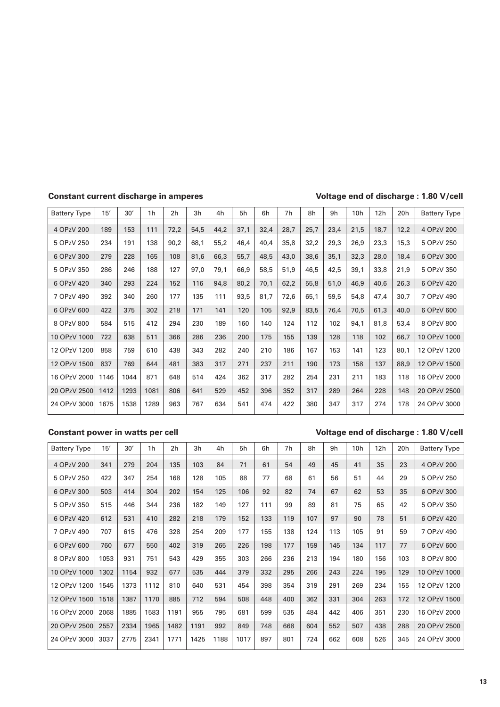### **Constant current discharge in amperes Voltage end of discharge : 1.80 V/cell**

| <b>Battery Type</b> | 15'  | 30'  | 1 <sub>h</sub> | 2 <sub>h</sub> | 3h   | 4h   | 5h   | 6h   | 7h   | 8h   | 9h   | 10 <sub>h</sub> | 12h  | 20h  | <b>Battery Type</b> |
|---------------------|------|------|----------------|----------------|------|------|------|------|------|------|------|-----------------|------|------|---------------------|
| 4 OPzV 200          | 189  | 153  | 111            | 72,2           | 54,5 | 44,2 | 37,1 | 32,4 | 28,7 | 25,7 | 23,4 | 21,5            | 18,7 | 12,2 | 4 OPzV 200          |
| 5 OPzV 250          | 234  | 191  | 138            | 90,2           | 68,1 | 55,2 | 46,4 | 40,4 | 35,8 | 32,2 | 29,3 | 26,9            | 23,3 | 15,3 | 5 OPzV 250          |
| 6 OPzV 300          | 279  | 228  | 165            | 108            | 81,6 | 66,3 | 55,7 | 48,5 | 43,0 | 38,6 | 35,1 | 32,3            | 28,0 | 18,4 | 6 OPzV 300          |
| 5 OPzV 350          | 286  | 246  | 188            | 127            | 97,0 | 79,1 | 66,9 | 58,5 | 51,9 | 46,5 | 42,5 | 39,1            | 33,8 | 21,9 | 5 OPzV 350          |
| 6 OPzV 420          | 340  | 293  | 224            | 152            | 116  | 94,8 | 80,2 | 70,1 | 62,2 | 55,8 | 51,0 | 46,9            | 40,6 | 26,3 | 6 OPzV 420          |
| 7 OPzV 490          | 392  | 340  | 260            | 177            | 135  | 111  | 93,5 | 81,7 | 72,6 | 65,1 | 59,5 | 54,8            | 47,4 | 30,7 | 7 OPzV 490          |
| 6 OPzV 600          | 422  | 375  | 302            | 218            | 171  | 141  | 120  | 105  | 92,9 | 83,5 | 76,4 | 70,5            | 61,3 | 40,0 | 6 OPzV 600          |
| 8 OPzV 800          | 584  | 515  | 412            | 294            | 230  | 189  | 160  | 140  | 124  | 112  | 102  | 94,1            | 81,8 | 53,4 | 8 OPzV 800          |
| 10 OPzV 1000        | 722  | 638  | 511            | 366            | 286  | 236  | 200  | 175  | 155  | 139  | 128  | 118             | 102  | 66,7 | 10 OPzV 1000        |
| 12 OPzV 1200        | 858  | 759  | 610            | 438            | 343  | 282  | 240  | 210  | 186  | 167  | 153  | 141             | 123  | 80,1 | 12 OPzV 1200        |
| 12 OPzV 1500        | 837  | 769  | 644            | 481            | 383  | 317  | 271  | 237  | 211  | 190  | 173  | 158             | 137  | 88,9 | 12 OPzV 1500        |
| 16 OPzV 2000        | 1146 | 1044 | 871            | 648            | 514  | 424  | 362  | 317  | 282  | 254  | 231  | 211             | 183  | 118  | 16 OPzV 2000        |
| 20 OPzV 2500        | 1412 | 1293 | 1081           | 806            | 641  | 529  | 452  | 396  | 352  | 317  | 289  | 264             | 228  | 148  | 20 OPzV 2500        |
| 24 OPzV 3000        | 1675 | 1538 | 1289           | 963            | 767  | 634  | 541  | 474  | 422  | 380  | 347  | 317             | 274  | 178  | 24 OPzV 3000        |

### **Constant power in watts per cell Voltage end of discharge : 1.80 V/cell**

| <b>Battery Type</b> | 15'  | 30'  | 1h   | 2 <sub>h</sub> | 3h   | 4h   | 5h   | 6h  | 7h  | 8h  | 9h  | 10 <sub>h</sub> | 12h | 20h | <b>Battery Type</b> |
|---------------------|------|------|------|----------------|------|------|------|-----|-----|-----|-----|-----------------|-----|-----|---------------------|
| 4 OPzV 200          | 341  | 279  | 204  | 135            | 103  | 84   | 71   | 61  | 54  | 49  | 45  | 41              | 35  | 23  | 4 OPzV 200          |
| 5 OPzV 250          | 422  | 347  | 254  | 168            | 128  | 105  | 88   | 77  | 68  | 61  | 56  | 51              | 44  | 29  | 5 OPzV 250          |
| 6 OPzV 300          | 503  | 414  | 304  | 202            | 154  | 125  | 106  | 92  | 82  | 74  | 67  | 62              | 53  | 35  | 6 OPzV 300          |
| 5 OPzV 350          | 515  | 446  | 344  | 236            | 182  | 149  | 127  | 111 | 99  | 89  | 81  | 75              | 65  | 42  | 5 OPzV 350          |
| 6 OPzV 420          | 612  | 531  | 410  | 282            | 218  | 179  | 152  | 133 | 119 | 107 | 97  | 90              | 78  | 51  | 6 OPzV 420          |
| 7 OPzV 490          | 707  | 615  | 476  | 328            | 254  | 209  | 177  | 155 | 138 | 124 | 113 | 105             | 91  | 59  | 7 OPzV 490          |
| 6 OPzV 600          | 760  | 677  | 550  | 402            | 319  | 265  | 226  | 198 | 177 | 159 | 145 | 134             | 117 | 77  | 6 OPzV 600          |
| 8 OPzV 800          | 1053 | 931  | 751  | 543            | 429  | 355  | 303  | 266 | 236 | 213 | 194 | 180             | 156 | 103 | 8 OPzV 800          |
| 10 OPzV 1000        | 1302 | 1154 | 932  | 677            | 535  | 444  | 379  | 332 | 295 | 266 | 243 | 224             | 195 | 129 | 10 OPzV 1000        |
| 12 OPzV 1200        | 1545 | 1373 | 1112 | 810            | 640  | 531  | 454  | 398 | 354 | 319 | 291 | 269             | 234 | 155 | 12 OPzV 1200        |
| 12 OPzV 1500        | 1518 | 1387 | 1170 | 885            | 712  | 594  | 508  | 448 | 400 | 362 | 331 | 304             | 263 | 172 | 12 OPzV 1500        |
| 16 OPzV 2000        | 2068 | 1885 | 1583 | 1191           | 955  | 795  | 681  | 599 | 535 | 484 | 442 | 406             | 351 | 230 | 16 OPzV 2000        |
| 20 OPzV 2500        | 2557 | 2334 | 1965 | 1482           | 1191 | 992  | 849  | 748 | 668 | 604 | 552 | 507             | 438 | 288 | 20 OPzV 2500        |
| 24 OPzV 3000        | 3037 | 2775 | 2341 | 1771           | 1425 | 1188 | 1017 | 897 | 801 | 724 | 662 | 608             | 526 | 345 | 24 OPzV 3000        |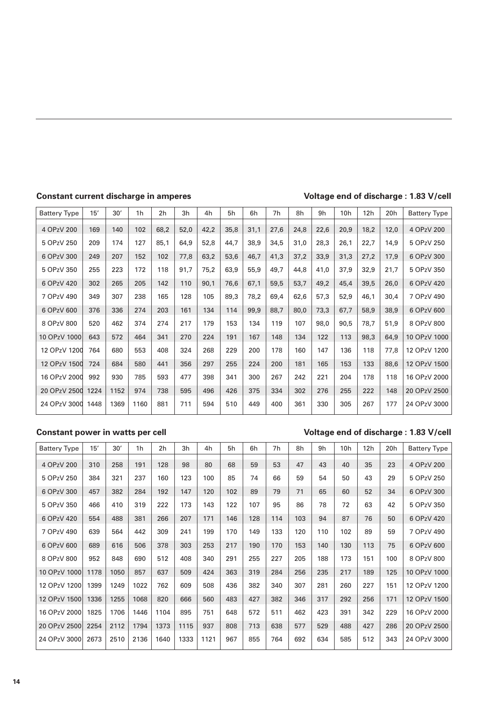### **Constant current discharge in amperes Voltage end of discharge : 1.83 V/cell**

| <b>Battery Type</b> | 15'  | 30'  | 1h   | 2 <sub>h</sub> | 3h   | 4h   | 5h   | 6h   | 7h   | 8h   | 9h   | 10h  | 12h  | 20h  | <b>Battery Type</b> |
|---------------------|------|------|------|----------------|------|------|------|------|------|------|------|------|------|------|---------------------|
| 4 OPzV 200          | 169  | 140  | 102  | 68,2           | 52,0 | 42,2 | 35,8 | 31,1 | 27,6 | 24,8 | 22,6 | 20,9 | 18,2 | 12,0 | 4 OPzV 200          |
| 5 OPzV 250          | 209  | 174  | 127  | 85,1           | 64,9 | 52,8 | 44,7 | 38,9 | 34,5 | 31,0 | 28,3 | 26,1 | 22,7 | 14,9 | 5 OPzV 250          |
| 6 OPzV 300          | 249  | 207  | 152  | 102            | 77,8 | 63,2 | 53,6 | 46,7 | 41,3 | 37,2 | 33,9 | 31,3 | 27,2 | 17,9 | 6 OPzV 300          |
| 5 OPzV 350          | 255  | 223  | 172  | 118            | 91,7 | 75,2 | 63,9 | 55,9 | 49,7 | 44,8 | 41,0 | 37,9 | 32,9 | 21,7 | 5 OPzV 350          |
| 6 OPzV 420          | 302  | 265  | 205  | 142            | 110  | 90,1 | 76,6 | 67,1 | 59,5 | 53,7 | 49,2 | 45,4 | 39,5 | 26,0 | 6 OPzV 420          |
| 7 OPzV 490          | 349  | 307  | 238  | 165            | 128  | 105  | 89,3 | 78,2 | 69,4 | 62,6 | 57,3 | 52,9 | 46,1 | 30,4 | 7 OPzV 490          |
| 6 OPzV 600          | 376  | 336  | 274  | 203            | 161  | 134  | 114  | 99,9 | 88,7 | 80,0 | 73,3 | 67,7 | 58,9 | 38,9 | 6 OPzV 600          |
| 8 OPzV 800          | 520  | 462  | 374  | 274            | 217  | 179  | 153  | 134  | 119  | 107  | 98,0 | 90,5 | 78,7 | 51,9 | 8 OPzV 800          |
| 10 OPzV 1000        | 643  | 572  | 464  | 341            | 270  | 224  | 191  | 167  | 148  | 134  | 122  | 113  | 98,3 | 64,9 | 10 OPzV 1000        |
| 12 OPzV 1200        | 764  | 680  | 553  | 408            | 324  | 268  | 229  | 200  | 178  | 160  | 147  | 136  | 118  | 77,8 | 12 OPzV 1200        |
| 12 OPzV 1500        | 724  | 684  | 580  | 441            | 356  | 297  | 255  | 224  | 200  | 181  | 165  | 153  | 133  | 88,6 | 12 OPzV 1500        |
| 16 OPzV 2000        | 992  | 930  | 785  | 593            | 477  | 398  | 341  | 300  | 267  | 242  | 221  | 204  | 178  | 118  | 16 OPzV 2000        |
| 20 OPzV 2500        | 1224 | 1152 | 974  | 738            | 595  | 496  | 426  | 375  | 334  | 302  | 276  | 255  | 222  | 148  | 20 OPzV 2500        |
| 24 OPzV 3000        | 1448 | 1369 | 1160 | 881            | 711  | 594  | 510  | 449  | 400  | 361  | 330  | 305  | 267  | 177  | 24 OPzV 3000        |

### **Constant power in watts per cell Voltage end of discharge : 1.83 V/cell**

| <b>Battery Type</b> | 15'  | 30'  | 1h   | 2h   | 3h   | 4h   | 5h  | 6h  | 7h  | 8h  | 9h  | 10 <sub>h</sub> | 12h | 20 <sub>h</sub> | <b>Battery Type</b> |
|---------------------|------|------|------|------|------|------|-----|-----|-----|-----|-----|-----------------|-----|-----------------|---------------------|
| 4 OPzV 200          | 310  | 258  | 191  | 128  | 98   | 80   | 68  | 59  | 53  | 47  | 43  | 40              | 35  | 23              | 4 OPzV 200          |
| 5 OPzV 250          | 384  | 321  | 237  | 160  | 123  | 100  | 85  | 74  | 66  | 59  | 54  | 50              | 43  | 29              | 5 OPzV 250          |
| 6 OPzV 300          | 457  | 382  | 284  | 192  | 147  | 120  | 102 | 89  | 79  | 71  | 65  | 60              | 52  | 34              | 6 OPzV 300          |
| 5 OPzV 350          | 466  | 410  | 319  | 222  | 173  | 143  | 122 | 107 | 95  | 86  | 78  | 72              | 63  | 42              | 5 OPzV 350          |
| 6 OPzV 420          | 554  | 488  | 381  | 266  | 207  | 171  | 146 | 128 | 114 | 103 | 94  | 87              | 76  | 50              | 6 OPzV 420          |
| 7 OPzV 490          | 639  | 564  | 442  | 309  | 241  | 199  | 170 | 149 | 133 | 120 | 110 | 102             | 89  | 59              | 7 OPzV 490          |
| 6 OPzV 600          | 689  | 616  | 506  | 378  | 303  | 253  | 217 | 190 | 170 | 153 | 140 | 130             | 113 | 75              | 6 OPzV 600          |
| 8 OPzV 800          | 952  | 848  | 690  | 512  | 408  | 340  | 291 | 255 | 227 | 205 | 188 | 173             | 151 | 100             | 8 OPzV 800          |
| 10 OPzV 1000        | 1178 | 1050 | 857  | 637  | 509  | 424  | 363 | 319 | 284 | 256 | 235 | 217             | 189 | 125             | 10 OPzV 1000        |
| 12 OPzV 1200        | 1399 | 1249 | 1022 | 762  | 609  | 508  | 436 | 382 | 340 | 307 | 281 | 260             | 227 | 151             | 12 OPzV 1200        |
| 12 OPzV 1500        | 1336 | 1255 | 1068 | 820  | 666  | 560  | 483 | 427 | 382 | 346 | 317 | 292             | 256 | 171             | 12 OPzV 1500        |
| 16 OPzV 2000        | 1825 | 1706 | 1446 | 1104 | 895  | 751  | 648 | 572 | 511 | 462 | 423 | 391             | 342 | 229             | 16 OPzV 2000        |
| 20 OPzV 2500        | 2254 | 2112 | 1794 | 1373 | 1115 | 937  | 808 | 713 | 638 | 577 | 529 | 488             | 427 | 286             | 20 OPzV 2500        |
| 24 OPzV 3000        | 2673 | 2510 | 2136 | 1640 | 1333 | 1121 | 967 | 855 | 764 | 692 | 634 | 585             | 512 | 343             | 24 OPzV 3000        |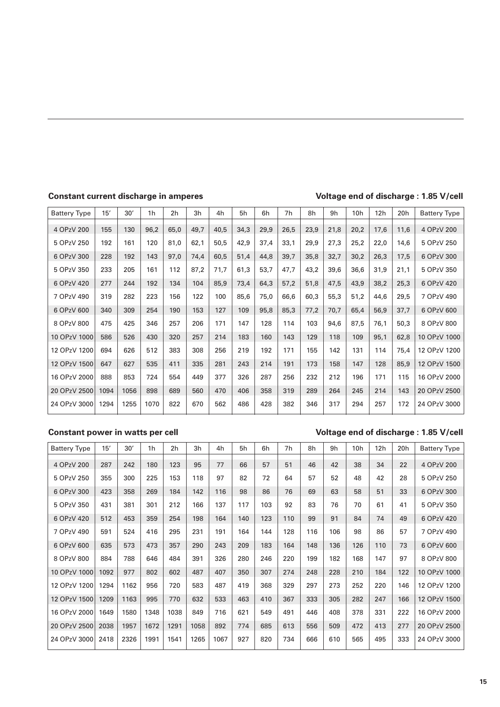### **Constant current discharge in amperes Voltage end of discharge : 1.85 V/cell**

| <b>Battery Type</b> | 15'  | 30'  | 1 <sub>h</sub> | 2 <sub>h</sub> | 3h   | 4h   | 5h   | 6h   | 7 <sub>h</sub> | 8h   | 9h   | 10 <sub>h</sub> | 12h  | 20h  | <b>Battery Type</b> |
|---------------------|------|------|----------------|----------------|------|------|------|------|----------------|------|------|-----------------|------|------|---------------------|
| 4 OPzV 200          | 155  | 130  | 96,2           | 65,0           | 49,7 | 40,5 | 34,3 | 29,9 | 26,5           | 23,9 | 21,8 | 20,2            | 17,6 | 11,6 | 4 OPzV 200          |
| 5 OPzV 250          | 192  | 161  | 120            | 81,0           | 62,1 | 50,5 | 42,9 | 37,4 | 33,1           | 29,9 | 27,3 | 25,2            | 22,0 | 14,6 | 5 OPzV 250          |
| 6 OPzV 300          | 228  | 192  | 143            | 97.0           | 74,4 | 60,5 | 51,4 | 44,8 | 39,7           | 35,8 | 32,7 | 30,2            | 26,3 | 17,5 | 6 OPzV 300          |
| 5 OPzV 350          | 233  | 205  | 161            | 112            | 87,2 | 71,7 | 61,3 | 53,7 | 47,7           | 43,2 | 39,6 | 36,6            | 31,9 | 21,1 | 5 OPzV 350          |
| 6 OPzV 420          | 277  | 244  | 192            | 134            | 104  | 85,9 | 73,4 | 64,3 | 57,2           | 51,8 | 47,5 | 43,9            | 38,2 | 25,3 | 6 OPzV 420          |
| 7 OPzV 490          | 319  | 282  | 223            | 156            | 122  | 100  | 85,6 | 75,0 | 66,6           | 60,3 | 55,3 | 51,2            | 44,6 | 29,5 | 7 OPzV 490          |
| 6 OPzV 600          | 340  | 309  | 254            | 190            | 153  | 127  | 109  | 95,8 | 85,3           | 77,2 | 70,7 | 65,4            | 56,9 | 37,7 | 6 OPzV 600          |
| 8 OPzV 800          | 475  | 425  | 346            | 257            | 206  | 171  | 147  | 128  | 114            | 103  | 94,6 | 87,5            | 76,1 | 50,3 | 8 OPzV 800          |
| 10 OPzV 1000        | 586  | 526  | 430            | 320            | 257  | 214  | 183  | 160  | 143            | 129  | 118  | 109             | 95,1 | 62,8 | 10 OPzV 1000        |
| 12 OPzV 1200        | 694  | 626  | 512            | 383            | 308  | 256  | 219  | 192  | 171            | 155  | 142  | 131             | 114  | 75,4 | 12 OPzV 1200        |
| 12 OPzV 1500        | 647  | 627  | 535            | 411            | 335  | 281  | 243  | 214  | 191            | 173  | 158  | 147             | 128  | 85,9 | 12 OPzV 1500        |
| 16 OPzV 2000        | 888  | 853  | 724            | 554            | 449  | 377  | 326  | 287  | 256            | 232  | 212  | 196             | 171  | 115  | 16 OPzV 2000        |
| 20 OPzV 2500        | 1094 | 1056 | 898            | 689            | 560  | 470  | 406  | 358  | 319            | 289  | 264  | 245             | 214  | 143  | 20 OPzV 2500        |
| 24 OPzV 3000        | 1294 | 1255 | 1070           | 822            | 670  | 562  | 486  | 428  | 382            | 346  | 317  | 294             | 257  | 172  | 24 OPzV 3000        |

### **Constant power in watts per cell Voltage end of discharge : 1.85 V/cell**

| <b>Battery Type</b> | 15'  | 30'  | 1h   | 2 <sub>h</sub> | 3h   | 4h   | 5h  | 6h  | 7h  | 8h  | 9h  | 10 <sub>h</sub> | 12h | 20h | <b>Battery Type</b> |
|---------------------|------|------|------|----------------|------|------|-----|-----|-----|-----|-----|-----------------|-----|-----|---------------------|
| 4 OPzV 200          | 287  | 242  | 180  | 123            | 95   | 77   | 66  | 57  | 51  | 46  | 42  | 38              | 34  | 22  | 4 OPzV 200          |
| 5 OPzV 250          | 355  | 300  | 225  | 153            | 118  | 97   | 82  | 72  | 64  | 57  | 52  | 48              | 42  | 28  | 5 OPzV 250          |
| 6 OPzV 300          | 423  | 358  | 269  | 184            | 142  | 116  | 98  | 86  | 76  | 69  | 63  | 58              | 51  | 33  | 6 OPzV 300          |
| 5 OPzV 350          | 431  | 381  | 301  | 212            | 166  | 137  | 117 | 103 | 92  | 83  | 76  | 70              | 61  | 41  | 5 OPzV 350          |
| 6 OPzV 420          | 512  | 453  | 359  | 254            | 198  | 164  | 140 | 123 | 110 | 99  | 91  | 84              | 74  | 49  | 6 OPzV 420          |
| 7 OPzV 490          | 591  | 524  | 416  | 295            | 231  | 191  | 164 | 144 | 128 | 116 | 106 | 98              | 86  | 57  | 7 OPzV 490          |
| 6 OPzV 600          | 635  | 573  | 473  | 357            | 290  | 243  | 209 | 183 | 164 | 148 | 136 | 126             | 110 | 73  | 6 OPzV 600          |
| 8 OPzV 800          | 884  | 788  | 646  | 484            | 391  | 326  | 280 | 246 | 220 | 199 | 182 | 168             | 147 | 97  | 8 OPzV 800          |
| 10 OPzV 1000        | 1092 | 977  | 802  | 602            | 487  | 407  | 350 | 307 | 274 | 248 | 228 | 210             | 184 | 122 | 10 OPzV 1000        |
| 12 OPzV 1200        | 1294 | 1162 | 956  | 720            | 583  | 487  | 419 | 368 | 329 | 297 | 273 | 252             | 220 | 146 | 12 OPzV 1200        |
| 12 OPzV 1500        | 1209 | 1163 | 995  | 770            | 632  | 533  | 463 | 410 | 367 | 333 | 305 | 282             | 247 | 166 | 12 OPzV 1500        |
| 16 OPzV 2000        | 1649 | 1580 | 1348 | 1038           | 849  | 716  | 621 | 549 | 491 | 446 | 408 | 378             | 331 | 222 | 16 OPzV 2000        |
| 20 OPzV 2500        | 2038 | 1957 | 1672 | 1291           | 1058 | 892  | 774 | 685 | 613 | 556 | 509 | 472             | 413 | 277 | 20 OPzV 2500        |
| 24 OPzV 3000        | 2418 | 2326 | 1991 | 1541           | 1265 | 1067 | 927 | 820 | 734 | 666 | 610 | 565             | 495 | 333 | 24 OPzV 3000        |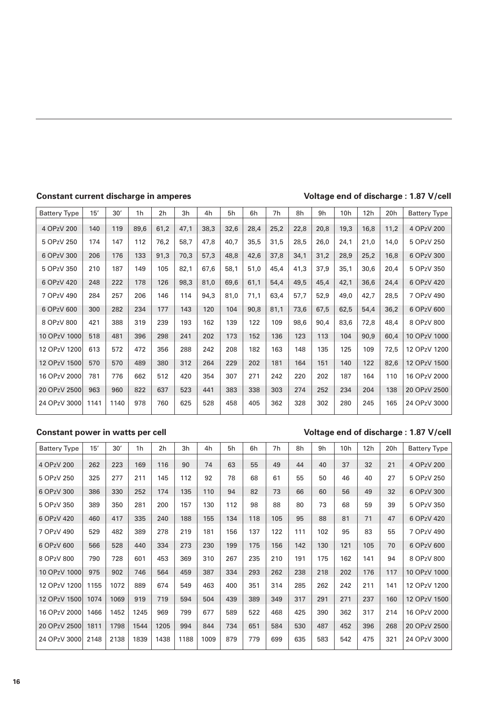### **Constant current discharge in amperes Voltage end of discharge : 1.87 V/cell**

| <b>Battery Type</b> | 15'  | 30'  | 1 <sub>h</sub> | 2h   | 3h   | 4h   | 5h   | 6h   | 7h   | 8h   | 9h   | 10 <sub>h</sub> | 12h  | 20h  | <b>Battery Type</b> |
|---------------------|------|------|----------------|------|------|------|------|------|------|------|------|-----------------|------|------|---------------------|
| 4 OPzV 200          | 140  | 119  | 89,6           | 61,2 | 47,1 | 38,3 | 32,6 | 28,4 | 25,2 | 22,8 | 20,8 | 19,3            | 16,8 | 11,2 | 4 OPzV 200          |
|                     |      |      |                |      |      |      |      |      |      |      |      |                 |      |      |                     |
| 5 OPzV 250          | 174  | 147  | 112            | 76,2 | 58,7 | 47,8 | 40,7 | 35,5 | 31,5 | 28,5 | 26,0 | 24,1            | 21,0 | 14,0 | 5 OPzV 250          |
| 6 OPzV 300          | 206  | 176  | 133            | 91,3 | 70,3 | 57,3 | 48,8 | 42,6 | 37,8 | 34,1 | 31,2 | 28,9            | 25,2 | 16,8 | 6 OPzV 300          |
| 5 OPzV 350          | 210  | 187  | 149            | 105  | 82,1 | 67,6 | 58,1 | 51,0 | 45,4 | 41,3 | 37,9 | 35,1            | 30,6 | 20,4 | 5 OPzV 350          |
| 6 OPzV 420          | 248  | 222  | 178            | 126  | 98,3 | 81,0 | 69,6 | 61,1 | 54,4 | 49,5 | 45,4 | 42,1            | 36,6 | 24,4 | 6 OPzV 420          |
| 7 OPzV 490          | 284  | 257  | 206            | 146  | 114  | 94,3 | 81,0 | 71,1 | 63,4 | 57,7 | 52,9 | 49,0            | 42,7 | 28,5 | 7 OPzV 490          |
| 6 OPzV 600          | 300  | 282  | 234            | 177  | 143  | 120  | 104  | 90,8 | 81,1 | 73,6 | 67,5 | 62,5            | 54,4 | 36,2 | 6 OPzV 600          |
| 8 OPzV 800          | 421  | 388  | 319            | 239  | 193  | 162  | 139  | 122  | 109  | 98,6 | 90,4 | 83,6            | 72,8 | 48,4 | 8 OPzV 800          |
| 10 OPzV 1000        | 518  | 481  | 396            | 298  | 241  | 202  | 173  | 152  | 136  | 123  | 113  | 104             | 90,9 | 60,4 | 10 OPzV 1000        |
| 12 OPzV 1200        | 613  | 572  | 472            | 356  | 288  | 242  | 208  | 182  | 163  | 148  | 135  | 125             | 109  | 72,5 | 12 OPzV 1200        |
| 12 OPzV 1500        | 570  | 570  | 489            | 380  | 312  | 264  | 229  | 202  | 181  | 164  | 151  | 140             | 122  | 82,6 | 12 OPzV 1500        |
| 16 OPzV 2000        | 781  | 776  | 662            | 512  | 420  | 354  | 307  | 271  | 242  | 220  | 202  | 187             | 164  | 110  | 16 OPzV 2000        |
| 20 OPzV 2500        | 963  | 960  | 822            | 637  | 523  | 441  | 383  | 338  | 303  | 274  | 252  | 234             | 204  | 138  | 20 OPzV 2500        |
| 24 OPzV 3000        | 1141 | 1140 | 978            | 760  | 625  | 528  | 458  | 405  | 362  | 328  | 302  | 280             | 245  | 165  | 24 OPzV 3000        |

### **Constant power in watts per cell Voltage end of discharge : 1.87 V/cell**

| <b>Battery Type</b> | 15'  | 30'  | 1h   | 2 <sub>h</sub> | 3h   | 4h   | 5h  | 6h  | 7h  | 8h  | 9h  | 10 <sub>h</sub> | 12h | 20h | <b>Battery Type</b> |
|---------------------|------|------|------|----------------|------|------|-----|-----|-----|-----|-----|-----------------|-----|-----|---------------------|
| 4 OPzV 200          | 262  | 223  | 169  | 116            | 90   | 74   | 63  | 55  | 49  | 44  | 40  | 37              | 32  | 21  | 4 OPzV 200          |
| 5 OPzV 250          | 325  | 277  | 211  | 145            | 112  | 92   | 78  | 68  | 61  | 55  | 50  | 46              | 40  | 27  | 5 OPzV 250          |
| 6 OPzV 300          | 386  | 330  | 252  | 174            | 135  | 110  | 94  | 82  | 73  | 66  | 60  | 56              | 49  | 32  | 6 OPzV 300          |
| 5 OPzV 350          | 389  | 350  | 281  | 200            | 157  | 130  | 112 | 98  | 88  | 80  | 73  | 68              | 59  | 39  | 5 OPzV 350          |
| 6 OPzV 420          | 460  | 417  | 335  | 240            | 188  | 155  | 134 | 118 | 105 | 95  | 88  | 81              | 71  | 47  | 6 OPzV 420          |
| 7 OPzV 490          | 529  | 482  | 389  | 278            | 219  | 181  | 156 | 137 | 122 | 111 | 102 | 95              | 83  | 55  | 7 OPzV 490          |
| 6 OPzV 600          | 566  | 528  | 440  | 334            | 273  | 230  | 199 | 175 | 156 | 142 | 130 | 121             | 105 | 70  | 6 OPzV 600          |
| 8 OPzV 800          | 790  | 728  | 601  | 453            | 369  | 310  | 267 | 235 | 210 | 191 | 175 | 162             | 141 | 94  | 8 OPzV 800          |
| 10 OPzV 1000        | 975  | 902  | 746  | 564            | 459  | 387  | 334 | 293 | 262 | 238 | 218 | 202             | 176 | 117 | 10 OPzV 1000        |
| 12 OPzV 1200        | 1155 | 1072 | 889  | 674            | 549  | 463  | 400 | 351 | 314 | 285 | 262 | 242             | 211 | 141 | 12 OPzV 1200        |
| 12 OPzV 1500        | 1074 | 1069 | 919  | 719            | 594  | 504  | 439 | 389 | 349 | 317 | 291 | 271             | 237 | 160 | 12 OPzV 1500        |
| 16 OPzV 2000        | 1466 | 1452 | 1245 | 969            | 799  | 677  | 589 | 522 | 468 | 425 | 390 | 362             | 317 | 214 | 16 OPzV 2000        |
| 20 OPzV 2500        | 1811 | 1798 | 1544 | 1205           | 994  | 844  | 734 | 651 | 584 | 530 | 487 | 452             | 396 | 268 | 20 OPzV 2500        |
| 24 OPzV 3000        | 2148 | 2138 | 1839 | 1438           | 1188 | 1009 | 879 | 779 | 699 | 635 | 583 | 542             | 475 | 321 | 24 OPzV 3000        |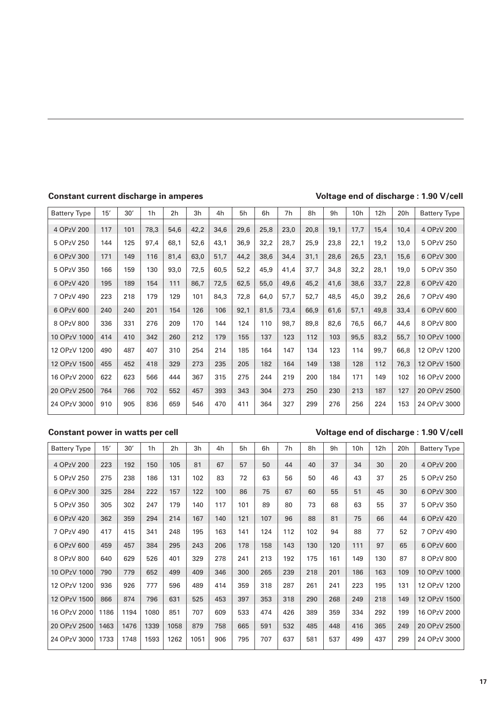### **Constant current discharge in amperes Voltage end of discharge : 1.90 V/cell**

| <b>Battery Type</b> | 15' | 30' | 1 <sub>h</sub> | 2 <sub>h</sub> | 3h   | 4h   | 5h   | 6h   | 7 <sub>h</sub> | 8h   | 9h   | 10 <sub>h</sub> | 12h  | 20h  | <b>Battery Type</b> |
|---------------------|-----|-----|----------------|----------------|------|------|------|------|----------------|------|------|-----------------|------|------|---------------------|
| 4 OPzV 200          | 117 | 101 | 78,3           | 54,6           | 42,2 | 34,6 | 29,6 | 25,8 | 23,0           | 20,8 | 19,1 | 17,7            | 15,4 | 10,4 | 4 OPzV 200          |
| 5 OPzV 250          | 144 | 125 | 97,4           | 68,1           | 52,6 | 43,1 | 36,9 | 32,2 | 28,7           | 25,9 | 23,8 | 22,1            | 19,2 | 13,0 | 5 OPzV 250          |
| 6 OPzV 300          | 171 | 149 | 116            | 81,4           | 63,0 | 51,7 | 44,2 | 38,6 | 34,4           | 31,1 | 28,6 | 26,5            | 23,1 | 15,6 | 6 OPzV 300          |
| 5 OPzV 350          | 166 | 159 | 130            | 93,0           | 72,5 | 60,5 | 52,2 | 45,9 | 41,4           | 37,7 | 34,8 | 32,2            | 28,1 | 19,0 | 5 OPzV 350          |
| 6 OPzV 420          | 195 | 189 | 154            | 111            | 86,7 | 72,5 | 62,5 | 55,0 | 49,6           | 45,2 | 41,6 | 38,6            | 33,7 | 22,8 | 6 OPzV 420          |
| 7 OPzV 490          | 223 | 218 | 179            | 129            | 101  | 84,3 | 72,8 | 64,0 | 57,7           | 52,7 | 48,5 | 45,0            | 39,2 | 26,6 | 7 OPzV 490          |
| 6 OPzV 600          | 240 | 240 | 201            | 154            | 126  | 106  | 92,1 | 81,5 | 73,4           | 66,9 | 61,6 | 57,1            | 49,8 | 33,4 | 6 OPzV 600          |
| 8 OPzV 800          | 336 | 331 | 276            | 209            | 170  | 144  | 124  | 110  | 98,7           | 89,8 | 82,6 | 76,5            | 66.7 | 44,6 | 8 OPzV 800          |
| 10 OPzV 1000        | 414 | 410 | 342            | 260            | 212  | 179  | 155  | 137  | 123            | 112  | 103  | 95,5            | 83,2 | 55,7 | 10 OPzV 1000        |
| 12 OPzV 1200        | 490 | 487 | 407            | 310            | 254  | 214  | 185  | 164  | 147            | 134  | 123  | 114             | 99,7 | 66,8 | 12 OPzV 1200        |
| 12 OPzV 1500        | 455 | 452 | 418            | 329            | 273  | 235  | 205  | 182  | 164            | 149  | 138  | 128             | 112  | 76,3 | 12 OPzV 1500        |
| 16 OPzV 2000        | 622 | 623 | 566            | 444            | 367  | 315  | 275  | 244  | 219            | 200  | 184  | 171             | 149  | 102  | 16 OPzV 2000        |
| 20 OPzV 2500        | 764 | 766 | 702            | 552            | 457  | 393  | 343  | 304  | 273            | 250  | 230  | 213             | 187  | 127  | 20 OPzV 2500        |
| 24 OPzV 3000        | 910 | 905 | 836            | 659            | 546  | 470  | 411  | 364  | 327            | 299  | 276  | 256             | 224  | 153  | 24 OPzV 3000        |

### **Constant power in watts per cell Voltage end of discharge : 1.90 V/cell**

| <b>Battery Type</b> | 15'  | 30'  | 1 <sub>h</sub> | 2 <sub>h</sub> | 3h   | 4h  | 5h  | 6h  | 7h  | 8h  | 9h  | 10 <sub>h</sub> | 12h | 20h | <b>Battery Type</b> |
|---------------------|------|------|----------------|----------------|------|-----|-----|-----|-----|-----|-----|-----------------|-----|-----|---------------------|
| 4 OPzV 200          | 223  | 192  | 150            | 105            | 81   | 67  | 57  | 50  | 44  | 40  | 37  | 34              | 30  | 20  | 4 OPzV 200          |
| 5 OPzV 250          | 275  | 238  | 186            | 131            | 102  | 83  | 72  | 63  | 56  | 50  | 46  | 43              | 37  | 25  | 5 OPzV 250          |
| 6 OPzV 300          | 325  | 284  | 222            | 157            | 122  | 100 | 86  | 75  | 67  | 60  | 55  | 51              | 45  | 30  | 6 OPzV 300          |
| 5 OPzV 350          | 305  | 302  | 247            | 179            | 140  | 117 | 101 | 89  | 80  | 73  | 68  | 63              | 55  | 37  | 5 OPzV 350          |
| 6 OPzV 420          | 362  | 359  | 294            | 214            | 167  | 140 | 121 | 107 | 96  | 88  | 81  | 75              | 66  | 44  | 6 OPzV 420          |
| 7 OPzV 490          | 417  | 415  | 341            | 248            | 195  | 163 | 141 | 124 | 112 | 102 | 94  | 88              | 77  | 52  | 7 OPzV 490          |
| 6 OPzV 600          | 459  | 457  | 384            | 295            | 243  | 206 | 178 | 158 | 143 | 130 | 120 | 111             | 97  | 65  | 6 OPzV 600          |
| 8 OPzV 800          | 640  | 629  | 526            | 401            | 329  | 278 | 241 | 213 | 192 | 175 | 161 | 149             | 130 | 87  | 8 OPzV 800          |
| 10 OPzV 1000        | 790  | 779  | 652            | 499            | 409  | 346 | 300 | 265 | 239 | 218 | 201 | 186             | 163 | 109 | 10 OPzV 1000        |
| 12 OPzV 1200        | 936  | 926  | 777            | 596            | 489  | 414 | 359 | 318 | 287 | 261 | 241 | 223             | 195 | 131 | 12 OPzV 1200        |
| 12 OPzV 1500        | 866  | 874  | 796            | 631            | 525  | 453 | 397 | 353 | 318 | 290 | 268 | 249             | 218 | 149 | 12 OPzV 1500        |
| 16 OPzV 2000        | 1186 | 1194 | 1080           | 851            | 707  | 609 | 533 | 474 | 426 | 389 | 359 | 334             | 292 | 199 | 16 OPzV 2000        |
| 20 OPzV 2500        | 1463 | 1476 | 1339           | 1058           | 879  | 758 | 665 | 591 | 532 | 485 | 448 | 416             | 365 | 249 | 20 OPzV 2500        |
| 24 OPzV 3000        | 1733 | 1748 | 1593           | 1262           | 1051 | 906 | 795 | 707 | 637 | 581 | 537 | 499             | 437 | 299 | 24 OPzV 3000        |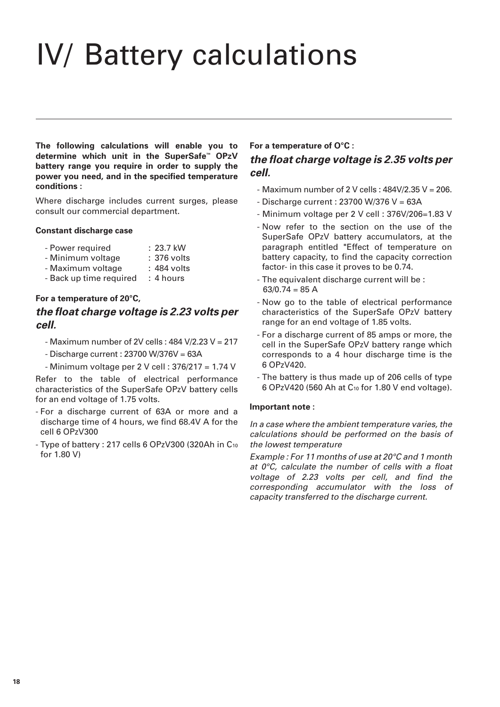# IV/ Battery calculations

**The following calculations will enable you to determine which unit in the SuperSafe™ OPzV battery range you require in order to supply the power you need, and in the specified temperature conditions :**

Where discharge includes current surges, please consult our commercial department.

### **Constant discharge case**

- Power required : 23.7 kW
- Minimum voltage : 376 volts
- Maximum voltage : 484 volts
- Back up time required : 4 hours

### **For a temperature of 20°C,**

## **the float charge voltage is 2.23 volts per cell.**

- Maximum number of 2V cells : 484 V/2.23 V = 217
- Discharge current : 23700 W/376V = 63A
- Minimum voltage per 2 V cell : 376/217 = 1.74 V

Refer to the table of electrical performance characteristics of the SuperSafe OPzV battery cells for an end voltage of 1.75 volts.

- For a discharge current of 63A or more and a discharge time of 4 hours, we find 68.4V A for the cell 6 OPzV300
- Type of battery : 217 cells 6 OPzV300 (320Ah in C10 for 1.80 V)

### **For a temperature of O°C : the float charge voltage is 2.35 volts per cell.**

- $-$  Maximum number of 2 V cells :  $484V/2.35V = 206$ .
- Discharge current : 23700 W/376 V = 63A
- Minimum voltage per 2 V cell : 376V/206=1.83 V
- Now refer to the section on the use of the SuperSafe OPzV battery accumulators, at the paragraph entitled "Effect of temperature on battery capacity, to find the capacity correction factor- in this case it proves to be 0.74.
- The equivalent discharge current will be :  $63/0.74 = 85$  A
- Now go to the table of electrical performance characteristics of the SuperSafe OPzV battery range for an end voltage of 1.85 volts.
- For a discharge current of 85 amps or more, the cell in the SuperSafe OPzV battery range which corresponds to a 4 hour discharge time is the 6 OPzV420.
- The battery is thus made up of 206 cells of type 6 OPzV420 (560 Ah at C10 for 1.80 V end voltage).

### **Important note :**

In a case where the ambient temperature varies, the calculations should be performed on the basis of the lowest temperature

Example : For 11 months of use at 20°C and 1 month at 0°C, calculate the number of cells with a float voltage of 2.23 volts per cell, and find the corresponding accumulator with the loss of capacity transferred to the discharge current.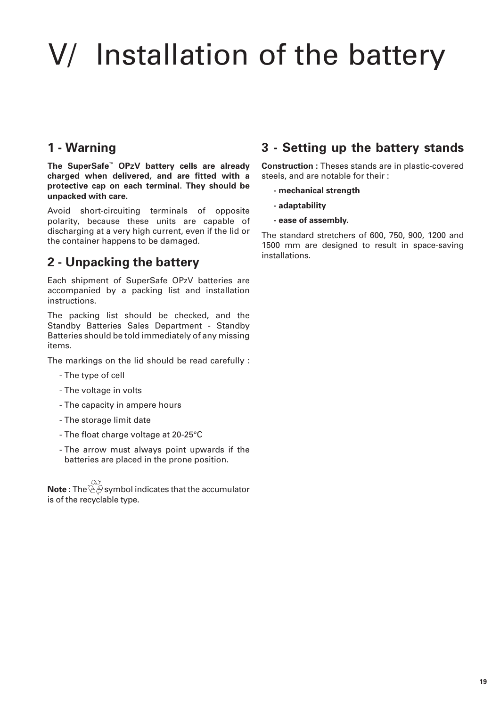# V/ Installation of the battery

# **1 - Warning**

**The SuperSafe™ OPzV battery cells are already charged when delivered, and are fitted with a protective cap on each terminal. They should be unpacked with care.**

Avoid short-circuiting terminals of opposite polarity, because these units are capable of discharging at a very high current, even if the lid or the container happens to be damaged.

# **2 - Unpacking the battery**

Each shipment of SuperSafe OPzV batteries are accompanied by a packing list and installation instructions.

The packing list should be checked, and the Standby Batteries Sales Department - Standby Batteries should be told immediately of any missing items.

The markings on the lid should be read carefully :

- The type of cell
- The voltage in volts
- The capacity in ampere hours
- The storage limit date
- The float charge voltage at 20-25°C
- The arrow must always point upwards if the batteries are placed in the prone position.

**Note** : The  $\check{\theta}$  symbol indicates that the accumulator is of the recyclable type.

## **3 - Setting up the battery stands**

**Construction :** Theses stands are in plastic-covered steels, and are notable for their :

- **mechanical strength**
- **adaptability**
- **ease of assembly.**

The standard stretchers of 600, 750, 900, 1200 and 1500 mm are designed to result in space-saving installations.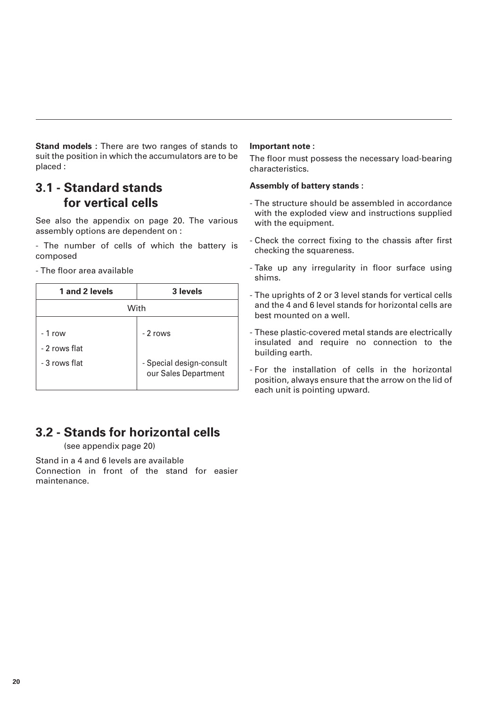**Stand models :** There are two ranges of stands to suit the position in which the accumulators are to be placed :

## **3.1 - Standard stands for vertical cells**

See also the appendix on page 20. The various assembly options are dependent on :

- The number of cells of which the battery is composed

- The floor area available

| 1 and 2 levels            | 3 levels                                         |
|---------------------------|--------------------------------------------------|
|                           | With                                             |
| $-1$ row<br>- 2 rows flat | - 2 rows                                         |
| - 3 rows flat             | - Special design-consult<br>our Sales Department |

# **3.2 - Stands for horizontal cells**

(see appendix page 20)

Stand in a 4 and 6 levels are available Connection in front of the stand for easier maintenance.

### **Important note :**

The floor must possess the necessary load-bearing characteristics.

### **Assembly of battery stands :**

- The structure should be assembled in accordance with the exploded view and instructions supplied with the equipment.
- Check the correct fixing to the chassis after first checking the squareness.
- Take up any irregularity in floor surface using shims.
- The uprights of 2 or 3 level stands for vertical cells and the 4 and 6 level stands for horizontal cells are best mounted on a well.
- These plastic-covered metal stands are electrically insulated and require no connection to the building earth.
- For the installation of cells in the horizontal position, always ensure that the arrow on the lid of each unit is pointing upward.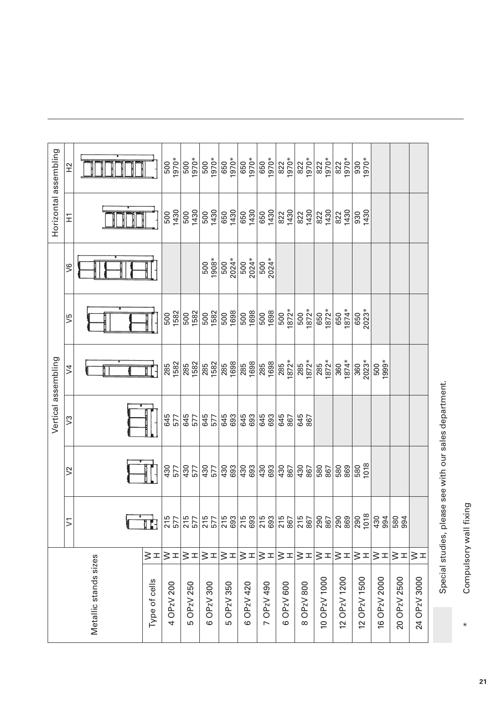| $\geq$                    | 645<br>645<br>645<br>693<br>645<br>577<br>577<br>577<br>$\mathbb{S}^2$ | 430<br>430<br>693<br>693<br>430<br>430<br>577<br>430<br>577<br>577<br>$\geq$ |
|---------------------------|------------------------------------------------------------------------|------------------------------------------------------------------------------|
|                           |                                                                        |                                                                              |
|                           |                                                                        |                                                                              |
|                           |                                                                        |                                                                              |
|                           |                                                                        |                                                                              |
| $\Pi$ -                   |                                                                        |                                                                              |
| <b>285</b><br>1582        |                                                                        |                                                                              |
| 1582<br>285               |                                                                        |                                                                              |
| 1582<br>285               |                                                                        |                                                                              |
| 1698<br>285               |                                                                        | 645<br>693                                                                   |
| 1698<br>285               |                                                                        |                                                                              |
| 1698<br>285               |                                                                        | 645<br>693<br>430<br>693                                                     |
| 1872*<br>1872*<br>285     |                                                                        | 645<br>867<br>430<br>867                                                     |
| $1872*$<br>1872*<br>285   |                                                                        | 645<br>867<br>430<br>867                                                     |
| 1872*<br>1872*<br>285     |                                                                        | 580<br>867                                                                   |
| $1874*$<br>$1874*$<br>360 |                                                                        | 580<br>869                                                                   |
| $2023*$<br>2023*<br>360   |                                                                        | 1018<br>580                                                                  |
| 1999*<br>500              |                                                                        |                                                                              |
|                           |                                                                        |                                                                              |
|                           |                                                                        |                                                                              |

Special studies, please see with our sales department. Special studies, please see with our sales department.

Compulsory wall fixing \* Compulsory wall fixing  $\ast$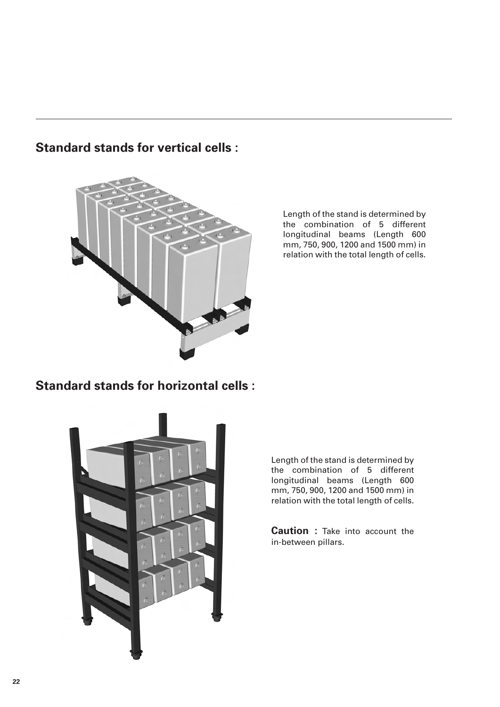

**Standard stands for vertical cells :**

Length of the stand is determined by the combination of 5 different longitudinal beams (Length 600 mm, 750, 900, 1200 and 1500 mm) in relation with the total length of cells.

**Standard stands for horizontal cells :**



Length of the stand is determined by the combination of 5 different longitudinal beams (Length 600 mm, 750, 900, 1200 and 1500 mm) in relation with the total length of cells.

**Caution :** Take into account the in-between pillars.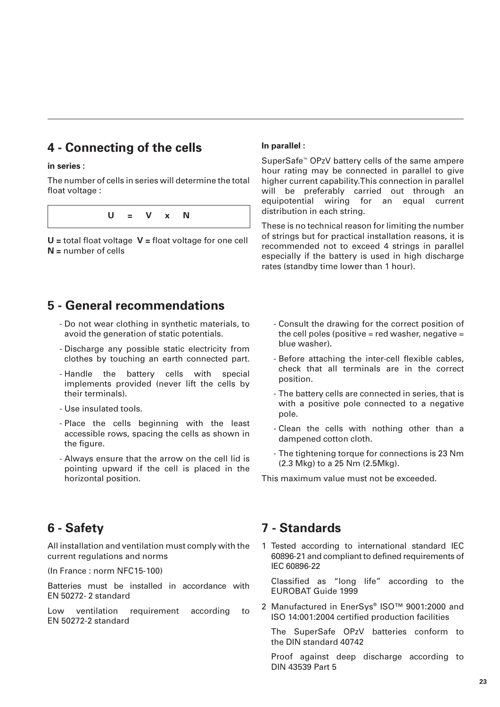# **4 - Connecting of the cells**

### **in series :**

The number of cells in series will determine the total float voltage :

**U = V x N**

**U =** total float voltage **V =** float voltage for one cell **N =** number of cells

### **In parallel :**

SuperSafe™ OPzV battery cells of the same ampere hour rating may be connected in parallel to give higher current capability.This connection in parallel will be preferably carried out through an equipotential wiring for an equal current distribution in each string.

These is no technical reason for limiting the number of strings but for practical installation reasons, it is recommended not to exceed 4 strings in parallel especially if the battery is used in high discharge rates (standby time lower than 1 hour).

## **5 - General recommendations**

- Do not wear clothing in synthetic materials, to avoid the generation of static potentials.
- Discharge any possible static electricity from clothes by touching an earth connected part.
- Handle the battery cells with special implements provided (never lift the cells by their terminals).
- Use insulated tools.
- Place the cells beginning with the least accessible rows, spacing the cells as shown in the figure.
- Always ensure that the arrow on the cell lid is pointing upward if the cell is placed in the horizontal position.
- Consult the drawing for the correct position of the cell poles (positive = red washer, negative = blue washer).
- Before attaching the inter-cell flexible cables, check that all terminals are in the correct position.
- The battery cells are connected in series, that is with a positive pole connected to a negative pole.
- Clean the cells with nothing other than a dampened cotton cloth.
- The tightening torque for connections is 23 Nm (2.3 Mkg) to a 25 Nm (2.5Mkg).

This maximum value must not be exceeded.

### **6 - Safety**

All installation and ventilation must comply with the current regulations and norms

(In France : norm NFC15-100)

Batteries must be installed in accordance with EN 50272- 2 standard

Low ventilation requirement according to EN 50272-2 standard

### **7 - Standards**

1 Tested according to international standard IEC 60896-21 and compliant to defined requirements of IEC 60896-22

Classified as "long life" according to the EUROBAT Guide 1999

2 Manufactured in EnerSys® ISO™ 9001:2000 and ISO 14:001:2004 certified production facilities

The SuperSafe OPzV batteries conform to the DIN standard 40742

Proof against deep discharge according to DIN 43539 Part 5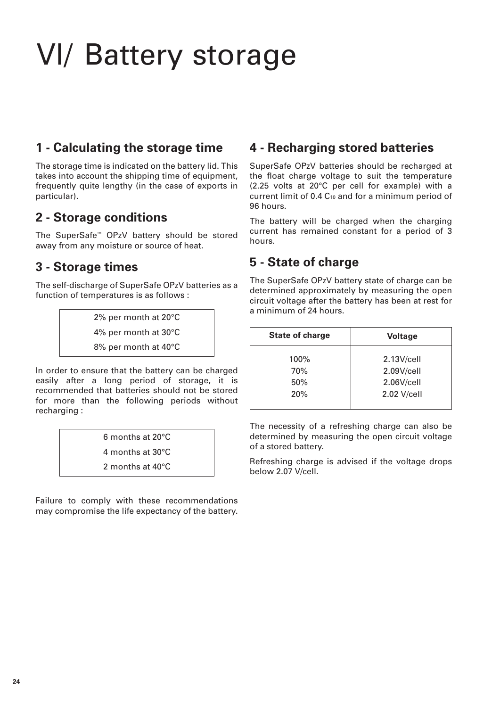# VI/ Battery storage

# **1 - Calculating the storage time**

The storage time is indicated on the battery lid. This takes into account the shipping time of equipment, frequently quite lengthy (in the case of exports in particular).

# **2 - Storage conditions**

The SuperSafe™ OPzV battery should be stored away from any moisture or source of heat.

# **3 - Storage times**

The self-discharge of SuperSafe OPzV batteries as a function of temperatures is as follows :

> 2% per month at 20°C 4% per month at 30°C 8% per month at 40°C

In order to ensure that the battery can be charged easily after a long period of storage, it is recommended that batteries should not be stored for more than the following periods without recharging :

> 6 months at 20°C 4 months at 30°C 2 months at 40°C

Failure to comply with these recommendations may compromise the life expectancy of the battery.

# **4 - Recharging stored batteries**

SuperSafe OPzV batteries should be recharged at the float charge voltage to suit the temperature (2.25 volts at 20°C per cell for example) with a current limit of 0.4 C10 and for a minimum period of 96 hours.

The battery will be charged when the charging current has remained constant for a period of 3 hours.

# **5 - State of charge**

The SuperSafe OPzV battery state of charge can be determined approximately by measuring the open circuit voltage after the battery has been at rest for a minimum of 24 hours.

| <b>State of charge</b> | <b>Voltage</b> |
|------------------------|----------------|
| 100%                   | 2.13V/cell     |
| 70%                    | 2.09V/cell     |
| 50%                    | 2.06V/cell     |
| 20%                    | 2.02 V/cell    |
|                        |                |

The necessity of a refreshing charge can also be determined by measuring the open circuit voltage of a stored battery.

Refreshing charge is advised if the voltage drops below 2.07 V/cell.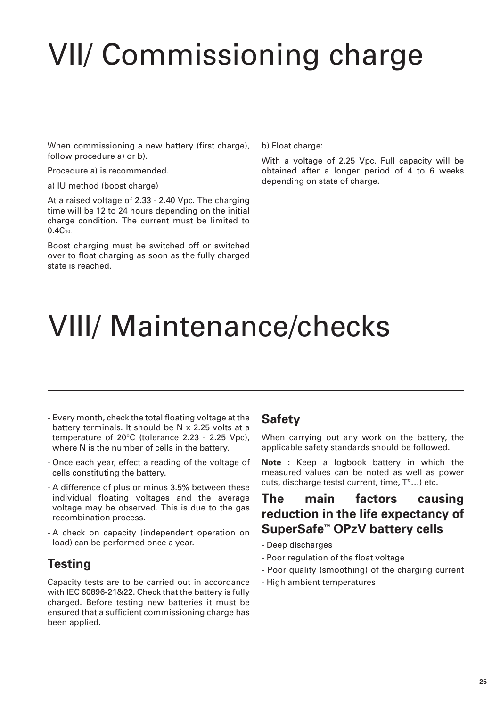# VII/ Commissioning charge

When commissioning a new battery (first charge), follow procedure a) or b).

Procedure a) is recommended.

a) IU method (boost charge)

At a raised voltage of 2.33 - 2.40 Vpc. The charging time will be 12 to 24 hours depending on the initial charge condition. The current must be limited to 0.4C10.

Boost charging must be switched off or switched over to float charging as soon as the fully charged state is reached.

b) Float charge:

With a voltage of 2.25 Vpc. Full capacity will be obtained after a longer period of 4 to 6 weeks depending on state of charge.

# VIII/ Maintenance/checks

- Every month, check the total floating voltage at the battery terminals. It should be N x 2.25 volts at a temperature of 20°C (tolerance 2.23 - 2.25 Vpc), where N is the number of cells in the battery.
- Once each year, effect a reading of the voltage of cells constituting the battery.
- A difference of plus or minus 3.5% between these individual floating voltages and the average voltage may be observed. This is due to the gas recombination process.
- A check on capacity (independent operation on load) can be performed once a year.

# **Testing**

Capacity tests are to be carried out in accordance with IEC 60896-21&22. Check that the battery is fully charged. Before testing new batteries it must be ensured that a sufficient commissioning charge has been applied.

## **Safety**

When carrying out any work on the battery, the applicable safety standards should be followed.

**Note :** Keep a logbook battery in which the measured values can be noted as well as power cuts, discharge tests( current, time, T°…) etc.

# **The main factors causing reduction in the life expectancy of SuperSafe™ OPzV battery cells**

- Deep discharges
- Poor regulation of the float voltage
- Poor quality (smoothing) of the charging current
- High ambient temperatures